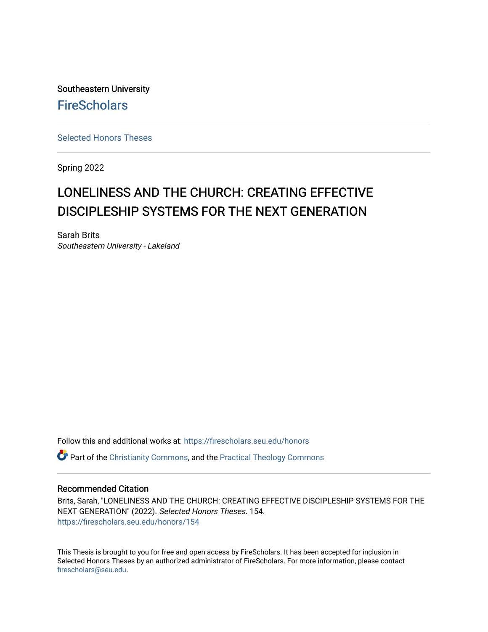Southeastern University **FireScholars** 

[Selected Honors Theses](https://firescholars.seu.edu/honors)

Spring 2022

## LONELINESS AND THE CHURCH: CREATING EFFECTIVE DISCIPLESHIP SYSTEMS FOR THE NEXT GENERATION

Sarah Brits Southeastern University - Lakeland

Follow this and additional works at: [https://firescholars.seu.edu/honors](https://firescholars.seu.edu/honors?utm_source=firescholars.seu.edu%2Fhonors%2F154&utm_medium=PDF&utm_campaign=PDFCoverPages)

**C** Part of the [Christianity Commons,](https://network.bepress.com/hgg/discipline/1181?utm_source=firescholars.seu.edu%2Fhonors%2F154&utm_medium=PDF&utm_campaign=PDFCoverPages) and the Practical Theology Commons

#### Recommended Citation

Brits, Sarah, "LONELINESS AND THE CHURCH: CREATING EFFECTIVE DISCIPLESHIP SYSTEMS FOR THE NEXT GENERATION" (2022). Selected Honors Theses. 154. [https://firescholars.seu.edu/honors/154](https://firescholars.seu.edu/honors/154?utm_source=firescholars.seu.edu%2Fhonors%2F154&utm_medium=PDF&utm_campaign=PDFCoverPages)

This Thesis is brought to you for free and open access by FireScholars. It has been accepted for inclusion in Selected Honors Theses by an authorized administrator of FireScholars. For more information, please contact [firescholars@seu.edu.](mailto:firescholars@seu.edu)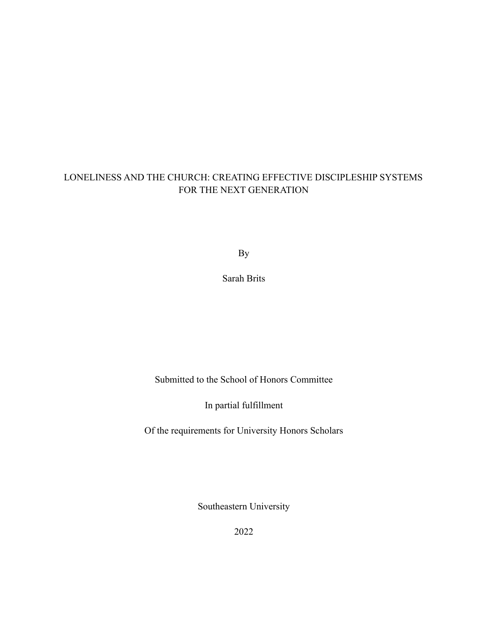## LONELINESS AND THE CHURCH: CREATING EFFECTIVE DISCIPLESHIP SYSTEMS FOR THE NEXT GENERATION

By

Sarah Brits

Submitted to the School of Honors Committee

In partial fulfillment

Of the requirements for University Honors Scholars

Southeastern University

2022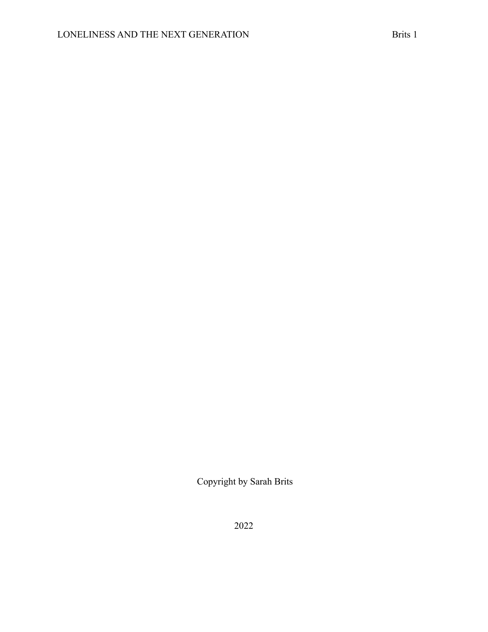Copyright by Sarah Brits

2022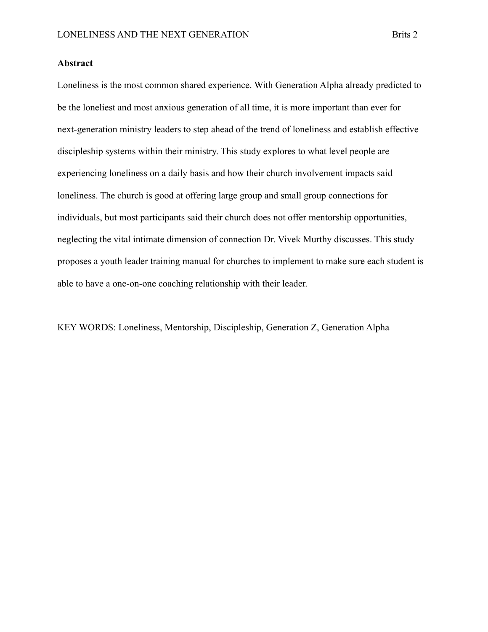#### **Abstract**

Loneliness is the most common shared experience. With Generation Alpha already predicted to be the loneliest and most anxious generation of all time, it is more important than ever for next-generation ministry leaders to step ahead of the trend of loneliness and establish effective discipleship systems within their ministry. This study explores to what level people are experiencing loneliness on a daily basis and how their church involvement impacts said loneliness. The church is good at offering large group and small group connections for individuals, but most participants said their church does not offer mentorship opportunities, neglecting the vital intimate dimension of connection Dr. Vivek Murthy discusses. This study proposes a youth leader training manual for churches to implement to make sure each student is able to have a one-on-one coaching relationship with their leader.

KEY WORDS: Loneliness, Mentorship, Discipleship, Generation Z, Generation Alpha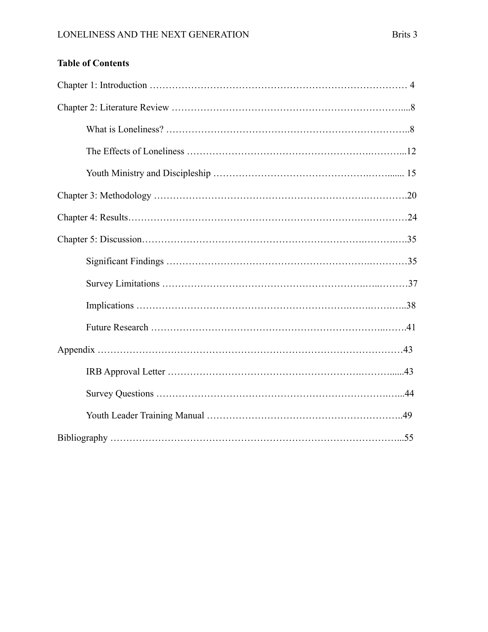## **Table of Contents**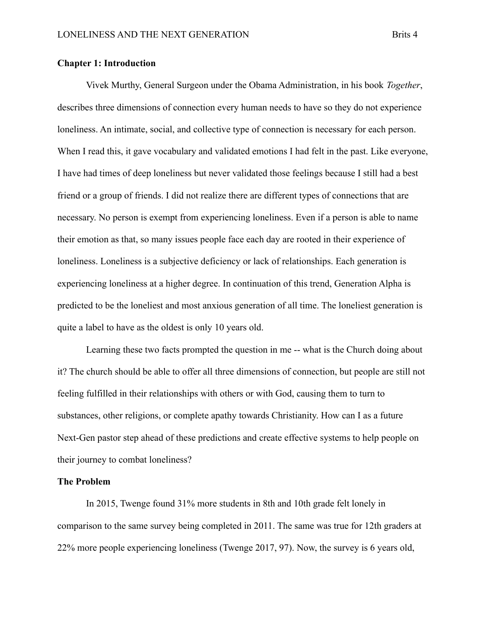#### **Chapter 1: Introduction**

Vivek Murthy, General Surgeon under the Obama Administration, in his book *Together*, describes three dimensions of connection every human needs to have so they do not experience loneliness. An intimate, social, and collective type of connection is necessary for each person. When I read this, it gave vocabulary and validated emotions I had felt in the past. Like everyone, I have had times of deep loneliness but never validated those feelings because I still had a best friend or a group of friends. I did not realize there are different types of connections that are necessary. No person is exempt from experiencing loneliness. Even if a person is able to name their emotion as that, so many issues people face each day are rooted in their experience of loneliness. Loneliness is a subjective deficiency or lack of relationships. Each generation is experiencing loneliness at a higher degree. In continuation of this trend, Generation Alpha is predicted to be the loneliest and most anxious generation of all time. The loneliest generation is quite a label to have as the oldest is only 10 years old.

Learning these two facts prompted the question in me -- what is the Church doing about it? The church should be able to offer all three dimensions of connection, but people are still not feeling fulfilled in their relationships with others or with God, causing them to turn to substances, other religions, or complete apathy towards Christianity. How can I as a future Next-Gen pastor step ahead of these predictions and create effective systems to help people on their journey to combat loneliness?

#### **The Problem**

In 2015, Twenge found 31% more students in 8th and 10th grade felt lonely in comparison to the same survey being completed in 2011. The same was true for 12th graders at 22% more people experiencing loneliness (Twenge 2017, 97). Now, the survey is 6 years old,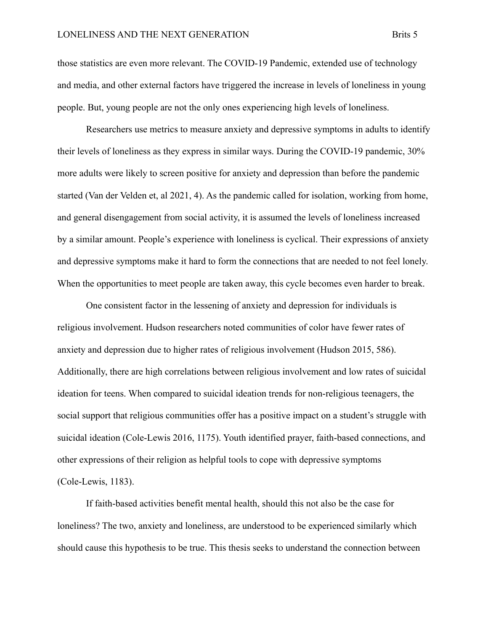those statistics are even more relevant. The COVID-19 Pandemic, extended use of technology and media, and other external factors have triggered the increase in levels of loneliness in young people. But, young people are not the only ones experiencing high levels of loneliness.

Researchers use metrics to measure anxiety and depressive symptoms in adults to identify their levels of loneliness as they express in similar ways. During the COVID-19 pandemic, 30% more adults were likely to screen positive for anxiety and depression than before the pandemic started (Van der Velden et, al 2021, 4). As the pandemic called for isolation, working from home, and general disengagement from social activity, it is assumed the levels of loneliness increased by a similar amount. People's experience with loneliness is cyclical. Their expressions of anxiety and depressive symptoms make it hard to form the connections that are needed to not feel lonely. When the opportunities to meet people are taken away, this cycle becomes even harder to break.

One consistent factor in the lessening of anxiety and depression for individuals is religious involvement. Hudson researchers noted communities of color have fewer rates of anxiety and depression due to higher rates of religious involvement (Hudson 2015, 586). Additionally, there are high correlations between religious involvement and low rates of suicidal ideation for teens. When compared to suicidal ideation trends for non-religious teenagers, the social support that religious communities offer has a positive impact on a student's struggle with suicidal ideation (Cole-Lewis 2016, 1175). Youth identified prayer, faith-based connections, and other expressions of their religion as helpful tools to cope with depressive symptoms (Cole-Lewis, 1183).

If faith-based activities benefit mental health, should this not also be the case for loneliness? The two, anxiety and loneliness, are understood to be experienced similarly which should cause this hypothesis to be true. This thesis seeks to understand the connection between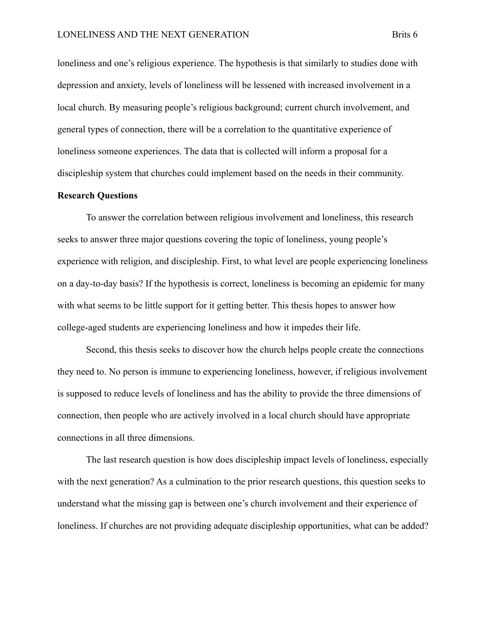loneliness and one's religious experience. The hypothesis is that similarly to studies done with depression and anxiety, levels of loneliness will be lessened with increased involvement in a local church. By measuring people's religious background; current church involvement, and general types of connection, there will be a correlation to the quantitative experience of loneliness someone experiences. The data that is collected will inform a proposal for a discipleship system that churches could implement based on the needs in their community.

#### **Research Questions**

To answer the correlation between religious involvement and loneliness, this research seeks to answer three major questions covering the topic of loneliness, young people's experience with religion, and discipleship. First, to what level are people experiencing loneliness on a day-to-day basis? If the hypothesis is correct, loneliness is becoming an epidemic for many with what seems to be little support for it getting better. This thesis hopes to answer how college-aged students are experiencing loneliness and how it impedes their life.

Second, this thesis seeks to discover how the church helps people create the connections they need to. No person is immune to experiencing loneliness, however, if religious involvement is supposed to reduce levels of loneliness and has the ability to provide the three dimensions of connection, then people who are actively involved in a local church should have appropriate connections in all three dimensions.

The last research question is how does discipleship impact levels of loneliness, especially with the next generation? As a culmination to the prior research questions, this question seeks to understand what the missing gap is between one's church involvement and their experience of loneliness. If churches are not providing adequate discipleship opportunities, what can be added?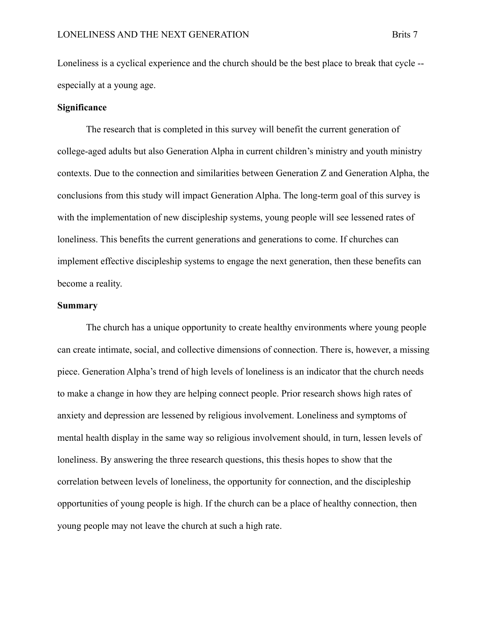Loneliness is a cyclical experience and the church should be the best place to break that cycle - especially at a young age.

#### **Significance**

The research that is completed in this survey will benefit the current generation of college-aged adults but also Generation Alpha in current children's ministry and youth ministry contexts. Due to the connection and similarities between Generation Z and Generation Alpha, the conclusions from this study will impact Generation Alpha. The long-term goal of this survey is with the implementation of new discipleship systems, young people will see lessened rates of loneliness. This benefits the current generations and generations to come. If churches can implement effective discipleship systems to engage the next generation, then these benefits can become a reality.

#### **Summary**

The church has a unique opportunity to create healthy environments where young people can create intimate, social, and collective dimensions of connection. There is, however, a missing piece. Generation Alpha's trend of high levels of loneliness is an indicator that the church needs to make a change in how they are helping connect people. Prior research shows high rates of anxiety and depression are lessened by religious involvement. Loneliness and symptoms of mental health display in the same way so religious involvement should, in turn, lessen levels of loneliness. By answering the three research questions, this thesis hopes to show that the correlation between levels of loneliness, the opportunity for connection, and the discipleship opportunities of young people is high. If the church can be a place of healthy connection, then young people may not leave the church at such a high rate.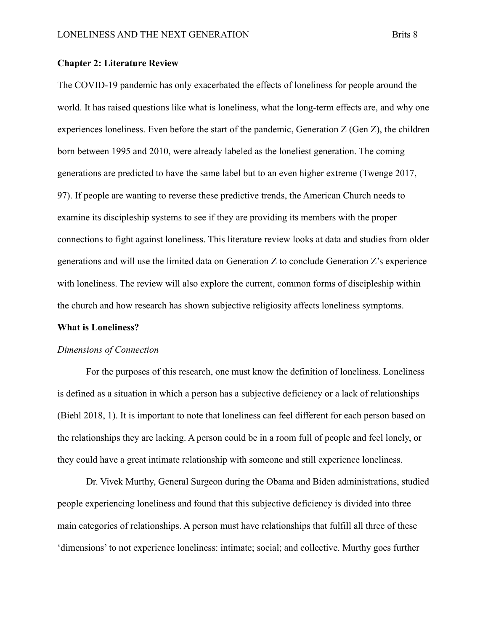#### **Chapter 2: Literature Review**

The COVID-19 pandemic has only exacerbated the effects of loneliness for people around the world. It has raised questions like what is loneliness, what the long-term effects are, and why one experiences loneliness. Even before the start of the pandemic, Generation Z (Gen Z), the children born between 1995 and 2010, were already labeled as the loneliest generation. The coming generations are predicted to have the same label but to an even higher extreme (Twenge 2017, 97). If people are wanting to reverse these predictive trends, the American Church needs to examine its discipleship systems to see if they are providing its members with the proper connections to fight against loneliness. This literature review looks at data and studies from older generations and will use the limited data on Generation Z to conclude Generation Z's experience with loneliness. The review will also explore the current, common forms of discipleship within the church and how research has shown subjective religiosity affects loneliness symptoms.

#### **What is Loneliness?**

#### *Dimensions of Connection*

For the purposes of this research, one must know the definition of loneliness. Loneliness is defined as a situation in which a person has a subjective deficiency or a lack of relationships (Biehl 2018, 1). It is important to note that loneliness can feel different for each person based on the relationships they are lacking. A person could be in a room full of people and feel lonely, or they could have a great intimate relationship with someone and still experience loneliness.

Dr. Vivek Murthy, General Surgeon during the Obama and Biden administrations, studied people experiencing loneliness and found that this subjective deficiency is divided into three main categories of relationships. A person must have relationships that fulfill all three of these 'dimensions' to not experience loneliness: intimate; social; and collective. Murthy goes further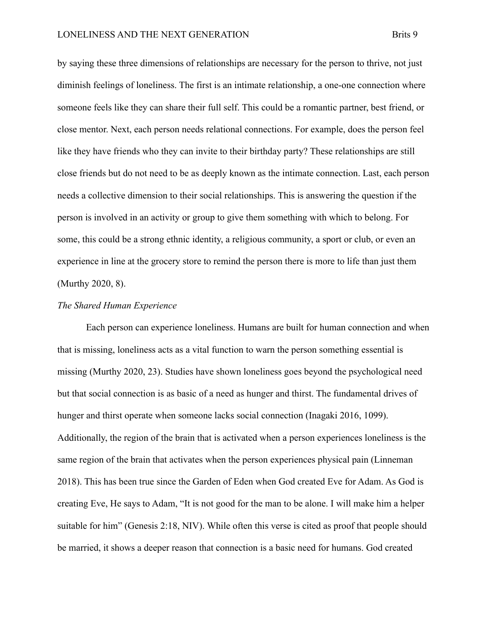by saying these three dimensions of relationships are necessary for the person to thrive, not just diminish feelings of loneliness. The first is an intimate relationship, a one-one connection where someone feels like they can share their full self. This could be a romantic partner, best friend, or close mentor. Next, each person needs relational connections. For example, does the person feel like they have friends who they can invite to their birthday party? These relationships are still close friends but do not need to be as deeply known as the intimate connection. Last, each person needs a collective dimension to their social relationships. This is answering the question if the person is involved in an activity or group to give them something with which to belong. For some, this could be a strong ethnic identity, a religious community, a sport or club, or even an experience in line at the grocery store to remind the person there is more to life than just them (Murthy 2020, 8).

#### *The Shared Human Experience*

Each person can experience loneliness. Humans are built for human connection and when that is missing, loneliness acts as a vital function to warn the person something essential is missing (Murthy 2020, 23). Studies have shown loneliness goes beyond the psychological need but that social connection is as basic of a need as hunger and thirst. The fundamental drives of hunger and thirst operate when someone lacks social connection (Inagaki 2016, 1099). Additionally, the region of the brain that is activated when a person experiences loneliness is the same region of the brain that activates when the person experiences physical pain (Linneman 2018). This has been true since the Garden of Eden when God created Eve for Adam. As God is creating Eve, He says to Adam, "It is not good for the man to be alone. I will make him a helper suitable for him" (Genesis 2:18, NIV). While often this verse is cited as proof that people should be married, it shows a deeper reason that connection is a basic need for humans. God created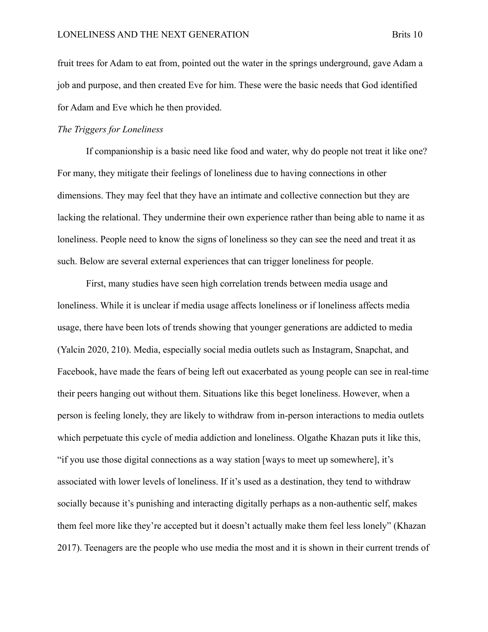fruit trees for Adam to eat from, pointed out the water in the springs underground, gave Adam a job and purpose, and then created Eve for him. These were the basic needs that God identified for Adam and Eve which he then provided.

#### *The Triggers for Loneliness*

If companionship is a basic need like food and water, why do people not treat it like one? For many, they mitigate their feelings of loneliness due to having connections in other dimensions. They may feel that they have an intimate and collective connection but they are lacking the relational. They undermine their own experience rather than being able to name it as loneliness. People need to know the signs of loneliness so they can see the need and treat it as such. Below are several external experiences that can trigger loneliness for people.

First, many studies have seen high correlation trends between media usage and loneliness. While it is unclear if media usage affects loneliness or if loneliness affects media usage, there have been lots of trends showing that younger generations are addicted to media (Yalcin 2020, 210). Media, especially social media outlets such as Instagram, Snapchat, and Facebook, have made the fears of being left out exacerbated as young people can see in real-time their peers hanging out without them. Situations like this beget loneliness. However, when a person is feeling lonely, they are likely to withdraw from in-person interactions to media outlets which perpetuate this cycle of media addiction and loneliness. Olgathe Khazan puts it like this, "if you use those digital connections as a way station [ways to meet up somewhere], it's associated with lower levels of loneliness. If it's used as a destination, they tend to withdraw socially because it's punishing and interacting digitally perhaps as a non-authentic self, makes them feel more like they're accepted but it doesn't actually make them feel less lonely" (Khazan 2017). Teenagers are the people who use media the most and it is shown in their current trends of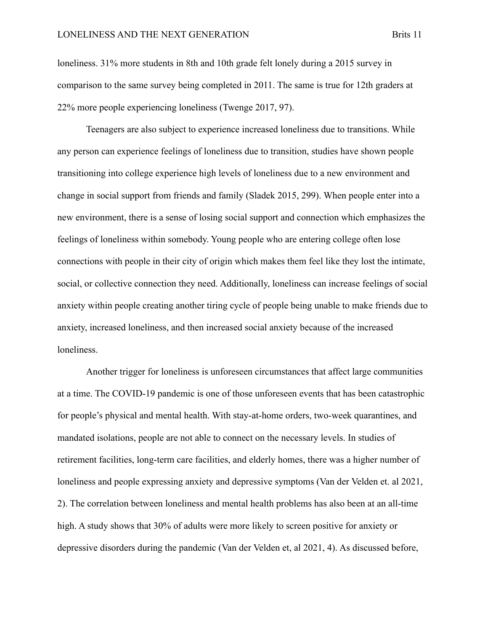loneliness. 31% more students in 8th and 10th grade felt lonely during a 2015 survey in comparison to the same survey being completed in 2011. The same is true for 12th graders at 22% more people experiencing loneliness (Twenge 2017, 97).

Teenagers are also subject to experience increased loneliness due to transitions. While any person can experience feelings of loneliness due to transition, studies have shown people transitioning into college experience high levels of loneliness due to a new environment and change in social support from friends and family (Sladek 2015, 299). When people enter into a new environment, there is a sense of losing social support and connection which emphasizes the feelings of loneliness within somebody. Young people who are entering college often lose connections with people in their city of origin which makes them feel like they lost the intimate, social, or collective connection they need. Additionally, loneliness can increase feelings of social anxiety within people creating another tiring cycle of people being unable to make friends due to anxiety, increased loneliness, and then increased social anxiety because of the increased loneliness.

Another trigger for loneliness is unforeseen circumstances that affect large communities at a time. The COVID-19 pandemic is one of those unforeseen events that has been catastrophic for people's physical and mental health. With stay-at-home orders, two-week quarantines, and mandated isolations, people are not able to connect on the necessary levels. In studies of retirement facilities, long-term care facilities, and elderly homes, there was a higher number of loneliness and people expressing anxiety and depressive symptoms (Van der Velden et. al 2021, 2). The correlation between loneliness and mental health problems has also been at an all-time high. A study shows that 30% of adults were more likely to screen positive for anxiety or depressive disorders during the pandemic (Van der Velden et, al 2021, 4). As discussed before,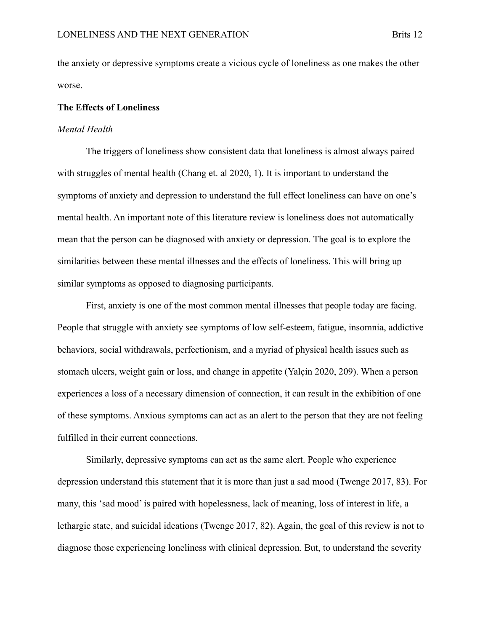the anxiety or depressive symptoms create a vicious cycle of loneliness as one makes the other worse.

#### **The Effects of Loneliness**

#### *Mental Health*

The triggers of loneliness show consistent data that loneliness is almost always paired with struggles of mental health (Chang et. al 2020, 1). It is important to understand the symptoms of anxiety and depression to understand the full effect loneliness can have on one's mental health. An important note of this literature review is loneliness does not automatically mean that the person can be diagnosed with anxiety or depression. The goal is to explore the similarities between these mental illnesses and the effects of loneliness. This will bring up similar symptoms as opposed to diagnosing participants.

First, anxiety is one of the most common mental illnesses that people today are facing. People that struggle with anxiety see symptoms of low self-esteem, fatigue, insomnia, addictive behaviors, social withdrawals, perfectionism, and a myriad of physical health issues such as stomach ulcers, weight gain or loss, and change in appetite (Yalçin 2020, 209). When a person experiences a loss of a necessary dimension of connection, it can result in the exhibition of one of these symptoms. Anxious symptoms can act as an alert to the person that they are not feeling fulfilled in their current connections.

Similarly, depressive symptoms can act as the same alert. People who experience depression understand this statement that it is more than just a sad mood (Twenge 2017, 83). For many, this 'sad mood' is paired with hopelessness, lack of meaning, loss of interest in life, a lethargic state, and suicidal ideations (Twenge 2017, 82). Again, the goal of this review is not to diagnose those experiencing loneliness with clinical depression. But, to understand the severity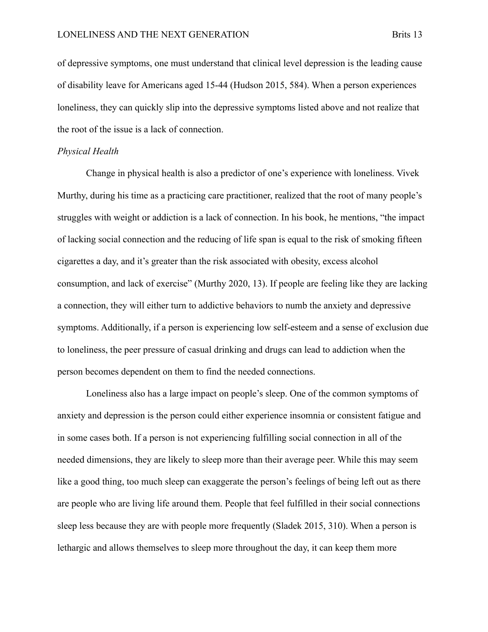of depressive symptoms, one must understand that clinical level depression is the leading cause of disability leave for Americans aged 15-44 (Hudson 2015, 584). When a person experiences loneliness, they can quickly slip into the depressive symptoms listed above and not realize that the root of the issue is a lack of connection.

#### *Physical Health*

Change in physical health is also a predictor of one's experience with loneliness. Vivek Murthy, during his time as a practicing care practitioner, realized that the root of many people's struggles with weight or addiction is a lack of connection. In his book, he mentions, "the impact of lacking social connection and the reducing of life span is equal to the risk of smoking fifteen cigarettes a day, and it's greater than the risk associated with obesity, excess alcohol consumption, and lack of exercise" (Murthy 2020, 13). If people are feeling like they are lacking a connection, they will either turn to addictive behaviors to numb the anxiety and depressive symptoms. Additionally, if a person is experiencing low self-esteem and a sense of exclusion due to loneliness, the peer pressure of casual drinking and drugs can lead to addiction when the person becomes dependent on them to find the needed connections.

Loneliness also has a large impact on people's sleep. One of the common symptoms of anxiety and depression is the person could either experience insomnia or consistent fatigue and in some cases both. If a person is not experiencing fulfilling social connection in all of the needed dimensions, they are likely to sleep more than their average peer. While this may seem like a good thing, too much sleep can exaggerate the person's feelings of being left out as there are people who are living life around them. People that feel fulfilled in their social connections sleep less because they are with people more frequently (Sladek 2015, 310). When a person is lethargic and allows themselves to sleep more throughout the day, it can keep them more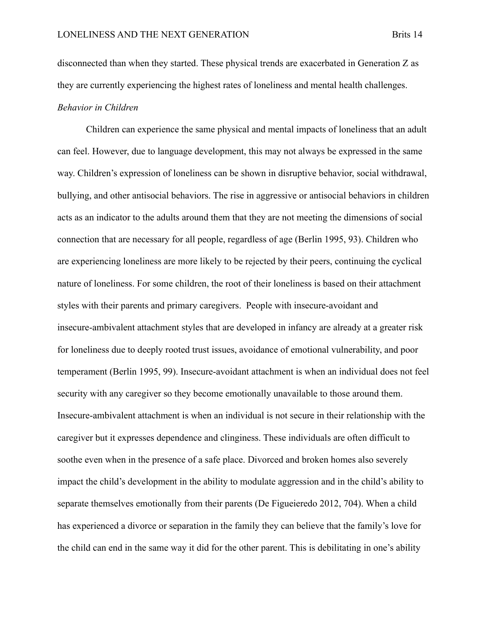disconnected than when they started. These physical trends are exacerbated in Generation Z as they are currently experiencing the highest rates of loneliness and mental health challenges. *Behavior in Children*

Children can experience the same physical and mental impacts of loneliness that an adult can feel. However, due to language development, this may not always be expressed in the same way. Children's expression of loneliness can be shown in disruptive behavior, social withdrawal, bullying, and other antisocial behaviors. The rise in aggressive or antisocial behaviors in children acts as an indicator to the adults around them that they are not meeting the dimensions of social connection that are necessary for all people, regardless of age (Berlin 1995, 93). Children who are experiencing loneliness are more likely to be rejected by their peers, continuing the cyclical nature of loneliness. For some children, the root of their loneliness is based on their attachment styles with their parents and primary caregivers. People with insecure-avoidant and insecure-ambivalent attachment styles that are developed in infancy are already at a greater risk for loneliness due to deeply rooted trust issues, avoidance of emotional vulnerability, and poor temperament (Berlin 1995, 99). Insecure-avoidant attachment is when an individual does not feel security with any caregiver so they become emotionally unavailable to those around them. Insecure-ambivalent attachment is when an individual is not secure in their relationship with the caregiver but it expresses dependence and clinginess. These individuals are often difficult to soothe even when in the presence of a safe place. Divorced and broken homes also severely impact the child's development in the ability to modulate aggression and in the child's ability to separate themselves emotionally from their parents (De Figueieredo 2012, 704). When a child has experienced a divorce or separation in the family they can believe that the family's love for the child can end in the same way it did for the other parent. This is debilitating in one's ability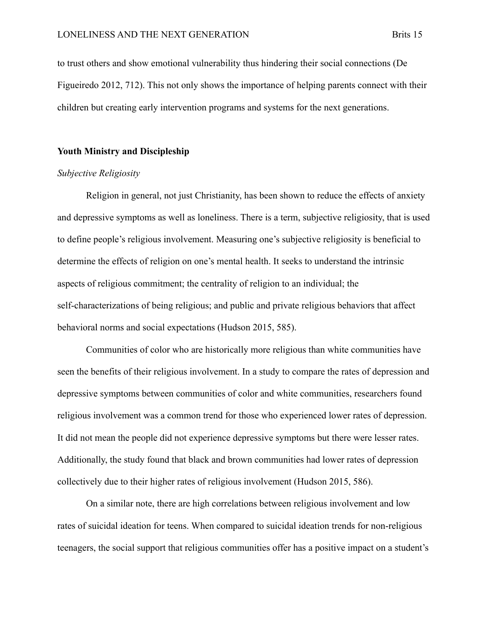to trust others and show emotional vulnerability thus hindering their social connections (De Figueiredo 2012, 712). This not only shows the importance of helping parents connect with their children but creating early intervention programs and systems for the next generations.

#### **Youth Ministry and Discipleship**

#### *Subjective Religiosity*

Religion in general, not just Christianity, has been shown to reduce the effects of anxiety and depressive symptoms as well as loneliness. There is a term, subjective religiosity, that is used to define people's religious involvement. Measuring one's subjective religiosity is beneficial to determine the effects of religion on one's mental health. It seeks to understand the intrinsic aspects of religious commitment; the centrality of religion to an individual; the self-characterizations of being religious; and public and private religious behaviors that affect behavioral norms and social expectations (Hudson 2015, 585).

Communities of color who are historically more religious than white communities have seen the benefits of their religious involvement. In a study to compare the rates of depression and depressive symptoms between communities of color and white communities, researchers found religious involvement was a common trend for those who experienced lower rates of depression. It did not mean the people did not experience depressive symptoms but there were lesser rates. Additionally, the study found that black and brown communities had lower rates of depression collectively due to their higher rates of religious involvement (Hudson 2015, 586).

On a similar note, there are high correlations between religious involvement and low rates of suicidal ideation for teens. When compared to suicidal ideation trends for non-religious teenagers, the social support that religious communities offer has a positive impact on a student's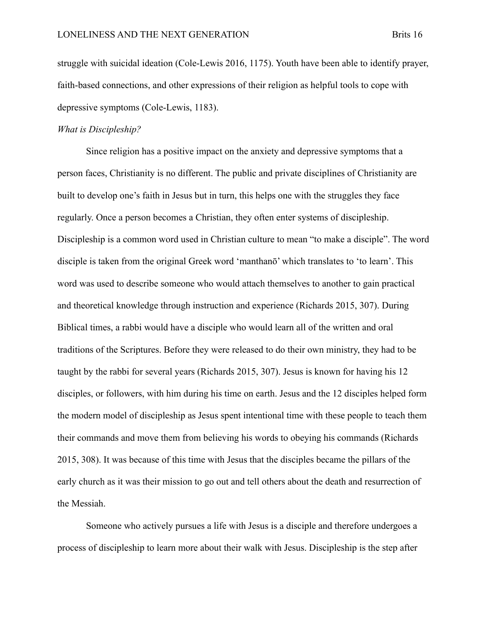struggle with suicidal ideation (Cole-Lewis 2016, 1175). Youth have been able to identify prayer, faith-based connections, and other expressions of their religion as helpful tools to cope with depressive symptoms (Cole-Lewis, 1183).

#### *What is Discipleship?*

Since religion has a positive impact on the anxiety and depressive symptoms that a person faces, Christianity is no different. The public and private disciplines of Christianity are built to develop one's faith in Jesus but in turn, this helps one with the struggles they face regularly. Once a person becomes a Christian, they often enter systems of discipleship. Discipleship is a common word used in Christian culture to mean "to make a disciple". The word disciple is taken from the original Greek word 'manthanō' which translates to 'to learn'. This word was used to describe someone who would attach themselves to another to gain practical and theoretical knowledge through instruction and experience (Richards 2015, 307). During Biblical times, a rabbi would have a disciple who would learn all of the written and oral traditions of the Scriptures. Before they were released to do their own ministry, they had to be taught by the rabbi for several years (Richards 2015, 307). Jesus is known for having his 12 disciples, or followers, with him during his time on earth. Jesus and the 12 disciples helped form the modern model of discipleship as Jesus spent intentional time with these people to teach them their commands and move them from believing his words to obeying his commands (Richards 2015, 308). It was because of this time with Jesus that the disciples became the pillars of the early church as it was their mission to go out and tell others about the death and resurrection of the Messiah.

Someone who actively pursues a life with Jesus is a disciple and therefore undergoes a process of discipleship to learn more about their walk with Jesus. Discipleship is the step after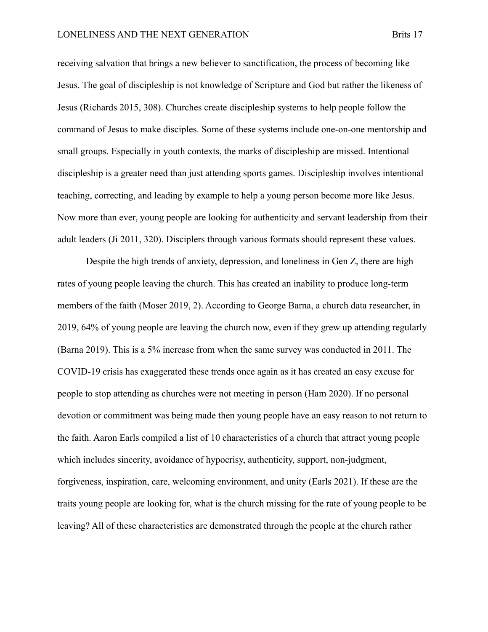receiving salvation that brings a new believer to sanctification, the process of becoming like Jesus. The goal of discipleship is not knowledge of Scripture and God but rather the likeness of Jesus (Richards 2015, 308). Churches create discipleship systems to help people follow the command of Jesus to make disciples. Some of these systems include one-on-one mentorship and small groups. Especially in youth contexts, the marks of discipleship are missed. Intentional discipleship is a greater need than just attending sports games. Discipleship involves intentional teaching, correcting, and leading by example to help a young person become more like Jesus. Now more than ever, young people are looking for authenticity and servant leadership from their adult leaders (Ji 2011, 320). Disciplers through various formats should represent these values.

Despite the high trends of anxiety, depression, and loneliness in Gen Z, there are high rates of young people leaving the church. This has created an inability to produce long-term members of the faith (Moser 2019, 2). According to George Barna, a church data researcher, in 2019, 64% of young people are leaving the church now, even if they grew up attending regularly (Barna 2019). This is a 5% increase from when the same survey was conducted in 2011. The COVID-19 crisis has exaggerated these trends once again as it has created an easy excuse for people to stop attending as churches were not meeting in person (Ham 2020). If no personal devotion or commitment was being made then young people have an easy reason to not return to the faith. Aaron Earls compiled a list of 10 characteristics of a church that attract young people which includes sincerity, avoidance of hypocrisy, authenticity, support, non-judgment, forgiveness, inspiration, care, welcoming environment, and unity (Earls 2021). If these are the traits young people are looking for, what is the church missing for the rate of young people to be leaving? All of these characteristics are demonstrated through the people at the church rather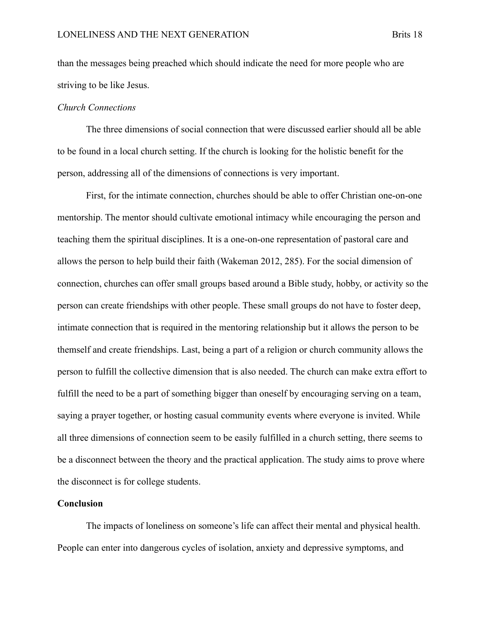than the messages being preached which should indicate the need for more people who are striving to be like Jesus.

#### *Church Connections*

The three dimensions of social connection that were discussed earlier should all be able to be found in a local church setting. If the church is looking for the holistic benefit for the person, addressing all of the dimensions of connections is very important.

First, for the intimate connection, churches should be able to offer Christian one-on-one mentorship. The mentor should cultivate emotional intimacy while encouraging the person and teaching them the spiritual disciplines. It is a one-on-one representation of pastoral care and allows the person to help build their faith (Wakeman 2012, 285). For the social dimension of connection, churches can offer small groups based around a Bible study, hobby, or activity so the person can create friendships with other people. These small groups do not have to foster deep, intimate connection that is required in the mentoring relationship but it allows the person to be themself and create friendships. Last, being a part of a religion or church community allows the person to fulfill the collective dimension that is also needed. The church can make extra effort to fulfill the need to be a part of something bigger than oneself by encouraging serving on a team, saying a prayer together, or hosting casual community events where everyone is invited. While all three dimensions of connection seem to be easily fulfilled in a church setting, there seems to be a disconnect between the theory and the practical application. The study aims to prove where the disconnect is for college students.

#### **Conclusion**

The impacts of loneliness on someone's life can affect their mental and physical health. People can enter into dangerous cycles of isolation, anxiety and depressive symptoms, and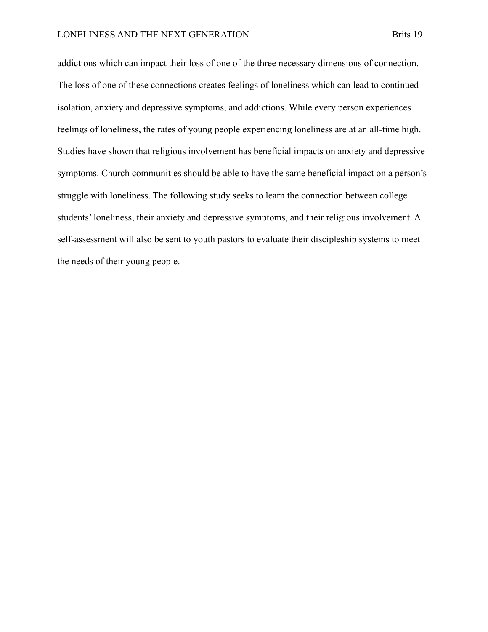addictions which can impact their loss of one of the three necessary dimensions of connection. The loss of one of these connections creates feelings of loneliness which can lead to continued isolation, anxiety and depressive symptoms, and addictions. While every person experiences feelings of loneliness, the rates of young people experiencing loneliness are at an all-time high. Studies have shown that religious involvement has beneficial impacts on anxiety and depressive symptoms. Church communities should be able to have the same beneficial impact on a person's struggle with loneliness. The following study seeks to learn the connection between college students' loneliness, their anxiety and depressive symptoms, and their religious involvement. A self-assessment will also be sent to youth pastors to evaluate their discipleship systems to meet the needs of their young people.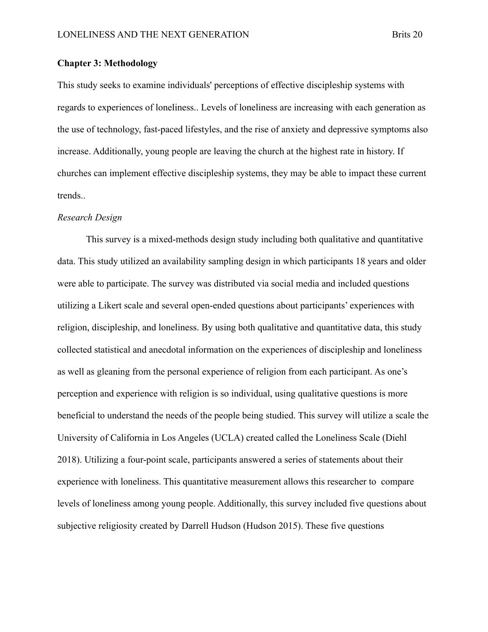#### **Chapter 3: Methodology**

This study seeks to examine individuals' perceptions of effective discipleship systems with regards to experiences of loneliness.. Levels of loneliness are increasing with each generation as the use of technology, fast-paced lifestyles, and the rise of anxiety and depressive symptoms also increase. Additionally, young people are leaving the church at the highest rate in history. If churches can implement effective discipleship systems, they may be able to impact these current trends..

#### *Research Design*

This survey is a mixed-methods design study including both qualitative and quantitative data. This study utilized an availability sampling design in which participants 18 years and older were able to participate. The survey was distributed via social media and included questions utilizing a Likert scale and several open-ended questions about participants' experiences with religion, discipleship, and loneliness. By using both qualitative and quantitative data, this study collected statistical and anecdotal information on the experiences of discipleship and loneliness as well as gleaning from the personal experience of religion from each participant. As one's perception and experience with religion is so individual, using qualitative questions is more beneficial to understand the needs of the people being studied. This survey will utilize a scale the University of California in Los Angeles (UCLA) created called the Loneliness Scale (Diehl 2018). Utilizing a four-point scale, participants answered a series of statements about their experience with loneliness. This quantitative measurement allows this researcher to compare levels of loneliness among young people. Additionally, this survey included five questions about subjective religiosity created by Darrell Hudson (Hudson 2015). These five questions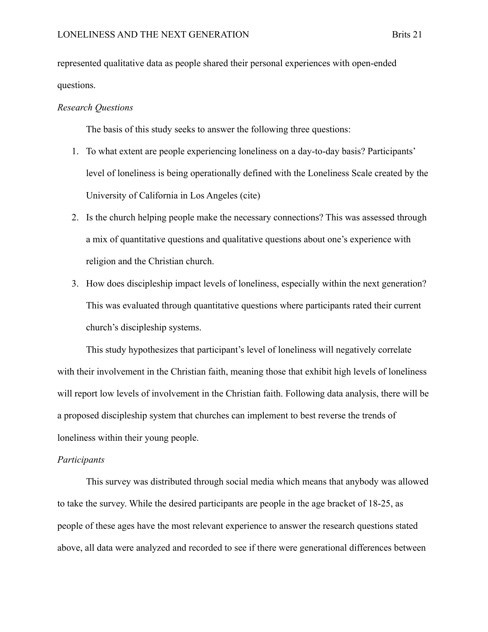represented qualitative data as people shared their personal experiences with open-ended questions.

#### *Research Questions*

The basis of this study seeks to answer the following three questions:

- 1. To what extent are people experiencing loneliness on a day-to-day basis? Participants' level of loneliness is being operationally defined with the Loneliness Scale created by the University of California in Los Angeles (cite)
- 2. Is the church helping people make the necessary connections? This was assessed through a mix of quantitative questions and qualitative questions about one's experience with religion and the Christian church.
- 3. How does discipleship impact levels of loneliness, especially within the next generation? This was evaluated through quantitative questions where participants rated their current church's discipleship systems.

This study hypothesizes that participant's level of loneliness will negatively correlate with their involvement in the Christian faith, meaning those that exhibit high levels of loneliness will report low levels of involvement in the Christian faith. Following data analysis, there will be a proposed discipleship system that churches can implement to best reverse the trends of loneliness within their young people.

#### *Participants*

This survey was distributed through social media which means that anybody was allowed to take the survey. While the desired participants are people in the age bracket of 18-25, as people of these ages have the most relevant experience to answer the research questions stated above, all data were analyzed and recorded to see if there were generational differences between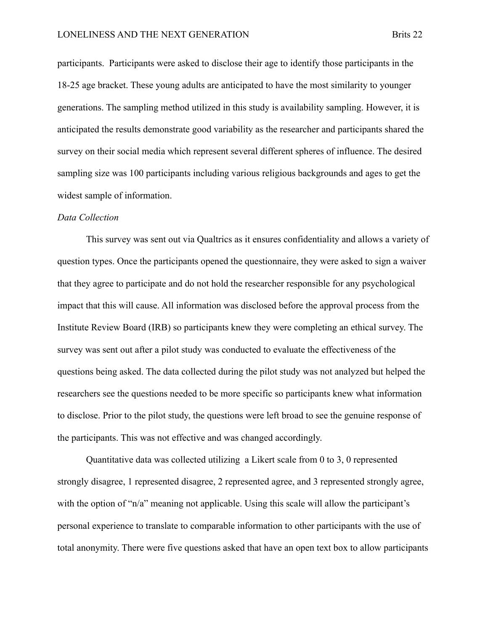participants. Participants were asked to disclose their age to identify those participants in the 18-25 age bracket. These young adults are anticipated to have the most similarity to younger generations. The sampling method utilized in this study is availability sampling. However, it is anticipated the results demonstrate good variability as the researcher and participants shared the survey on their social media which represent several different spheres of influence. The desired sampling size was 100 participants including various religious backgrounds and ages to get the widest sample of information.

#### *Data Collection*

This survey was sent out via Qualtrics as it ensures confidentiality and allows a variety of question types. Once the participants opened the questionnaire, they were asked to sign a waiver that they agree to participate and do not hold the researcher responsible for any psychological impact that this will cause. All information was disclosed before the approval process from the Institute Review Board (IRB) so participants knew they were completing an ethical survey. The survey was sent out after a pilot study was conducted to evaluate the effectiveness of the questions being asked. The data collected during the pilot study was not analyzed but helped the researchers see the questions needed to be more specific so participants knew what information to disclose. Prior to the pilot study, the questions were left broad to see the genuine response of the participants. This was not effective and was changed accordingly.

Quantitative data was collected utilizing a Likert scale from 0 to 3, 0 represented strongly disagree, 1 represented disagree, 2 represented agree, and 3 represented strongly agree, with the option of "n/a" meaning not applicable. Using this scale will allow the participant's personal experience to translate to comparable information to other participants with the use of total anonymity. There were five questions asked that have an open text box to allow participants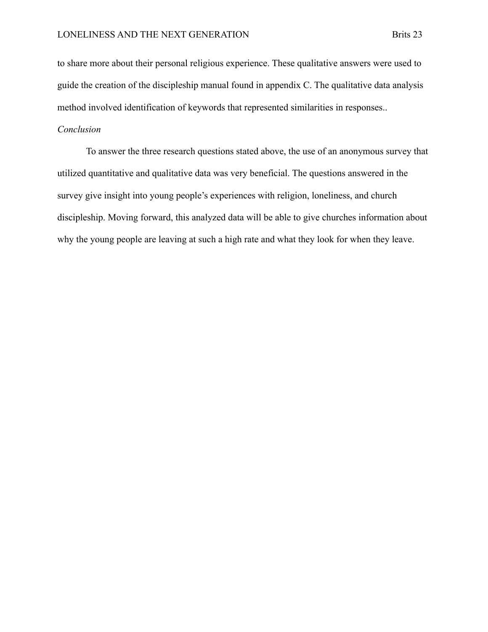to share more about their personal religious experience. These qualitative answers were used to guide the creation of the discipleship manual found in appendix C. The qualitative data analysis method involved identification of keywords that represented similarities in responses..

### *Conclusion*

To answer the three research questions stated above, the use of an anonymous survey that utilized quantitative and qualitative data was very beneficial. The questions answered in the survey give insight into young people's experiences with religion, loneliness, and church discipleship. Moving forward, this analyzed data will be able to give churches information about why the young people are leaving at such a high rate and what they look for when they leave.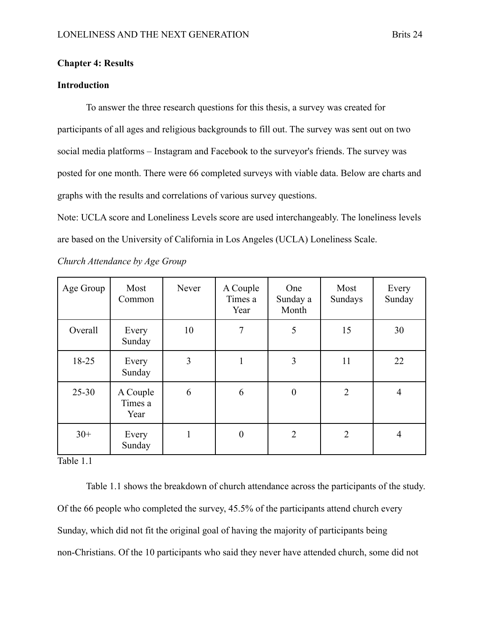#### **Chapter 4: Results**

#### **Introduction**

To answer the three research questions for this thesis, a survey was created for participants of all ages and religious backgrounds to fill out. The survey was sent out on two social media platforms – Instagram and Facebook to the surveyor's friends. The survey was posted for one month. There were 66 completed surveys with viable data. Below are charts and graphs with the results and correlations of various survey questions.

Note: UCLA score and Loneliness Levels score are used interchangeably. The loneliness levels are based on the University of California in Los Angeles (UCLA) Loneliness Scale.

| Age Group | Most<br>Common              | Never | A Couple<br>Times a<br>Year | <b>One</b><br>Sunday a<br>Month | Most<br>Sundays | Every<br>Sunday |
|-----------|-----------------------------|-------|-----------------------------|---------------------------------|-----------------|-----------------|
| Overall   | Every<br>Sunday             | 10    | 7                           | 5                               | 15              | 30              |
| 18-25     | Every<br>Sunday             | 3     |                             | 3                               | 11              | 22              |
| $25 - 30$ | A Couple<br>Times a<br>Year | 6     | 6                           | $\boldsymbol{0}$                | $\overline{2}$  | 4               |
| $30+$     | Every<br>Sunday             | 1     | $\overline{0}$              | $\overline{2}$                  | $\overline{2}$  | 4               |

*Church Attendance by Age Group*

Table 1.1

Table 1.1 shows the breakdown of church attendance across the participants of the study. Of the 66 people who completed the survey, 45.5% of the participants attend church every Sunday, which did not fit the original goal of having the majority of participants being non-Christians. Of the 10 participants who said they never have attended church, some did not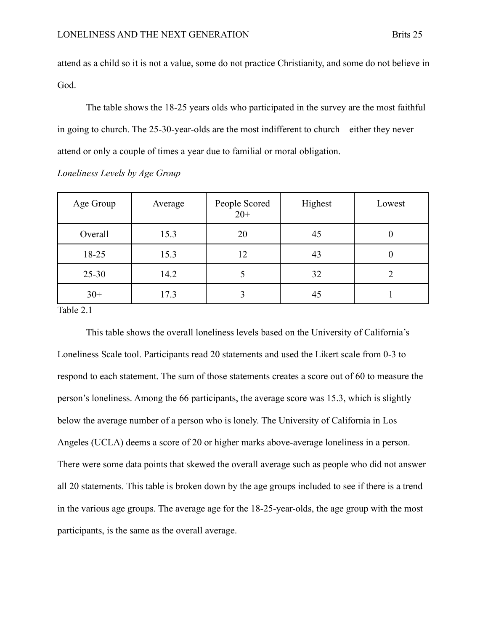attend as a child so it is not a value, some do not practice Christianity, and some do not believe in God.

The table shows the 18-25 years olds who participated in the survey are the most faithful in going to church. The 25-30-year-olds are the most indifferent to church – either they never attend or only a couple of times a year due to familial or moral obligation.

*Loneliness Levels by Age Group*

| Age Group | Average | People Scored<br>$20+$ | Highest | Lowest |
|-----------|---------|------------------------|---------|--------|
| Overall   | 15.3    | 20                     | 45      |        |
| 18-25     | 15.3    | 12                     | 43      |        |
| $25 - 30$ | 14.2    |                        | 32      |        |
| $30+$     | 17.3    |                        | 45      |        |

Table 2.1

This table shows the overall loneliness levels based on the University of California's Loneliness Scale tool. Participants read 20 statements and used the Likert scale from 0-3 to respond to each statement. The sum of those statements creates a score out of 60 to measure the person's loneliness. Among the 66 participants, the average score was 15.3, which is slightly below the average number of a person who is lonely. The University of California in Los Angeles (UCLA) deems a score of 20 or higher marks above-average loneliness in a person. There were some data points that skewed the overall average such as people who did not answer all 20 statements. This table is broken down by the age groups included to see if there is a trend in the various age groups. The average age for the 18-25-year-olds, the age group with the most participants, is the same as the overall average.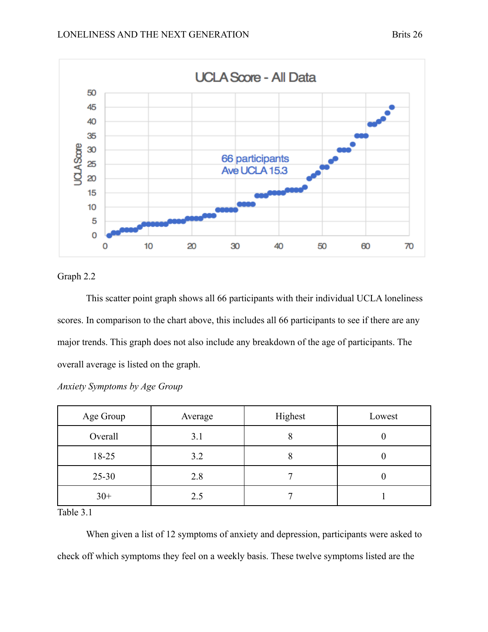



#### Graph 2.2

This scatter point graph shows all 66 participants with their individual UCLA loneliness scores. In comparison to the chart above, this includes all 66 participants to see if there are any major trends. This graph does not also include any breakdown of the age of participants. The overall average is listed on the graph.

| Age Group | Average | Highest | Lowest |
|-----------|---------|---------|--------|
| Overall   | 3.1     |         |        |
| $18-25$   | 3.2     |         |        |
| $25 - 30$ | 2.8     |         |        |
| $30+$     | 2.5     |         |        |

*Anxiety Symptoms by Age Group*

Table 3.1

When given a list of 12 symptoms of anxiety and depression, participants were asked to check off which symptoms they feel on a weekly basis. These twelve symptoms listed are the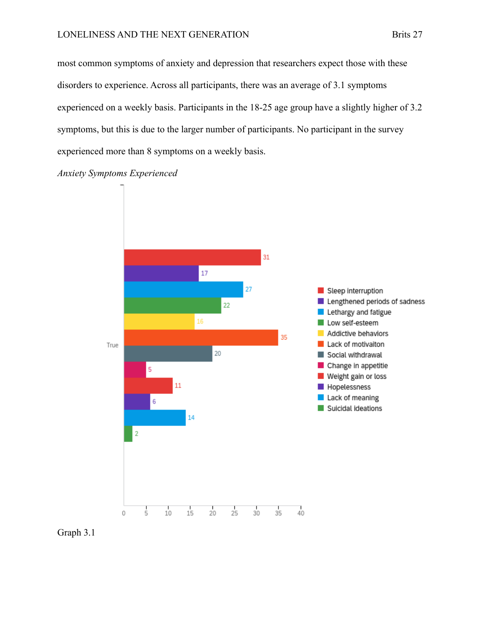most common symptoms of anxiety and depression that researchers expect those with these disorders to experience. Across all participants, there was an average of 3.1 symptoms experienced on a weekly basis. Participants in the 18-25 age group have a slightly higher of 3.2 symptoms, but this is due to the larger number of participants. No participant in the survey experienced more than 8 symptoms on a weekly basis.

*Anxiety Symptoms Experienced*



Graph 3.1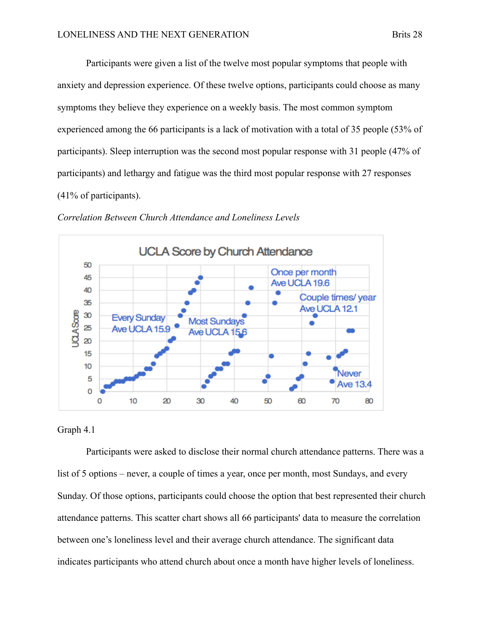Participants were given a list of the twelve most popular symptoms that people with anxiety and depression experience. Of these twelve options, participants could choose as many symptoms they believe they experience on a weekly basis. The most common symptom experienced among the 66 participants is a lack of motivation with a total of 35 people (53% of participants). Sleep interruption was the second most popular response with 31 people (47% of participants) and lethargy and fatigue was the third most popular response with 27 responses (41% of participants).



*Correlation Between Church Attendance and Loneliness Levels*

#### Graph 4.1

Participants were asked to disclose their normal church attendance patterns. There was a list of 5 options – never, a couple of times a year, once per month, most Sundays, and every Sunday. Of those options, participants could choose the option that best represented their church attendance patterns. This scatter chart shows all 66 participants' data to measure the correlation between one's loneliness level and their average church attendance. The significant data indicates participants who attend church about once a month have higher levels of loneliness.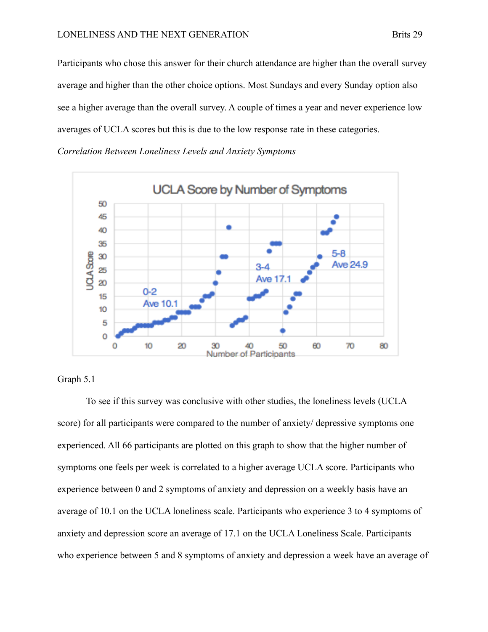Participants who chose this answer for their church attendance are higher than the overall survey average and higher than the other choice options. Most Sundays and every Sunday option also see a higher average than the overall survey. A couple of times a year and never experience low averages of UCLA scores but this is due to the low response rate in these categories.

*Correlation Between Loneliness Levels and Anxiety Symptoms*



#### Graph 5.1

To see if this survey was conclusive with other studies, the loneliness levels (UCLA score) for all participants were compared to the number of anxiety/ depressive symptoms one experienced. All 66 participants are plotted on this graph to show that the higher number of symptoms one feels per week is correlated to a higher average UCLA score. Participants who experience between 0 and 2 symptoms of anxiety and depression on a weekly basis have an average of 10.1 on the UCLA loneliness scale. Participants who experience 3 to 4 symptoms of anxiety and depression score an average of 17.1 on the UCLA Loneliness Scale. Participants who experience between 5 and 8 symptoms of anxiety and depression a week have an average of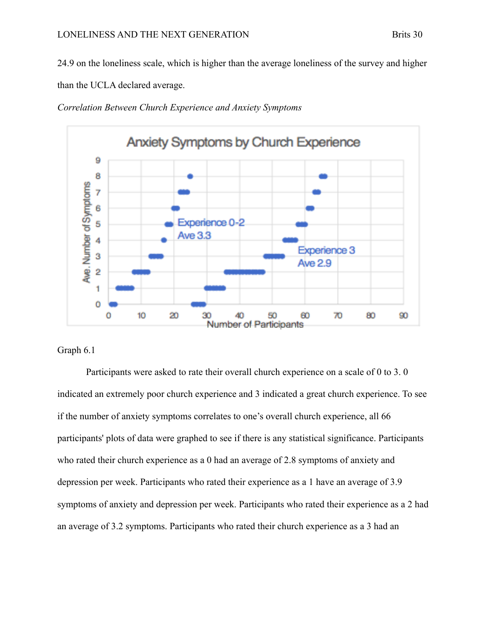24.9 on the loneliness scale, which is higher than the average loneliness of the survey and higher than the UCLA declared average.





#### Graph 6.1

Participants were asked to rate their overall church experience on a scale of 0 to 3. 0 indicated an extremely poor church experience and 3 indicated a great church experience. To see if the number of anxiety symptoms correlates to one's overall church experience, all 66 participants' plots of data were graphed to see if there is any statistical significance. Participants who rated their church experience as a 0 had an average of 2.8 symptoms of anxiety and depression per week. Participants who rated their experience as a 1 have an average of 3.9 symptoms of anxiety and depression per week. Participants who rated their experience as a 2 had an average of 3.2 symptoms. Participants who rated their church experience as a 3 had an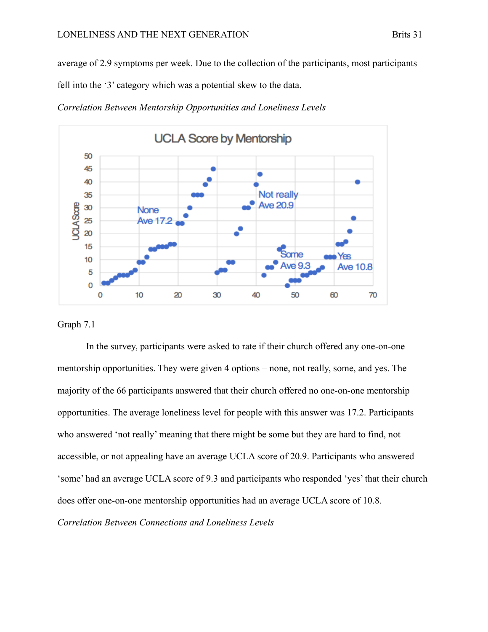average of 2.9 symptoms per week. Due to the collection of the participants, most participants

fell into the '3' category which was a potential skew to the data.





#### Graph 7.1

In the survey, participants were asked to rate if their church offered any one-on-one mentorship opportunities. They were given 4 options – none, not really, some, and yes. The majority of the 66 participants answered that their church offered no one-on-one mentorship opportunities. The average loneliness level for people with this answer was 17.2. Participants who answered 'not really' meaning that there might be some but they are hard to find, not accessible, or not appealing have an average UCLA score of 20.9. Participants who answered 'some' had an average UCLA score of 9.3 and participants who responded 'yes' that their church does offer one-on-one mentorship opportunities had an average UCLA score of 10.8. *Correlation Between Connections and Loneliness Levels*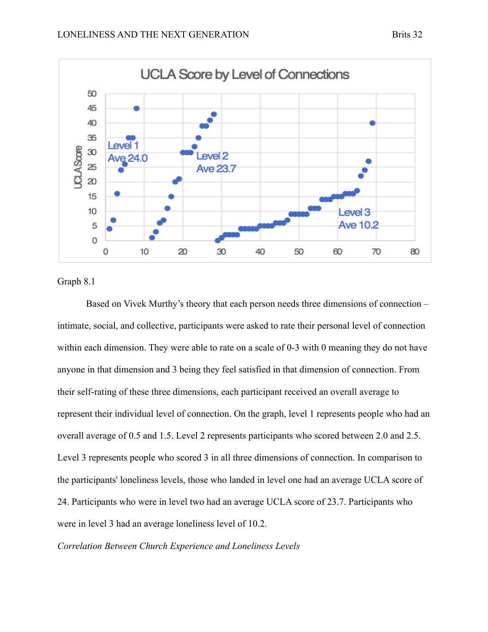



Graph 8.1

Based on Vivek Murthy's theory that each person needs three dimensions of connection – intimate, social, and collective, participants were asked to rate their personal level of connection within each dimension. They were able to rate on a scale of 0-3 with 0 meaning they do not have anyone in that dimension and 3 being they feel satisfied in that dimension of connection. From their self-rating of these three dimensions, each participant received an overall average to represent their individual level of connection. On the graph, level 1 represents people who had an overall average of 0.5 and 1.5. Level 2 represents participants who scored between 2.0 and 2.5. Level 3 represents people who scored 3 in all three dimensions of connection. In comparison to the participants' loneliness levels, those who landed in level one had an average UCLA score of 24. Participants who were in level two had an average UCLA score of 23.7. Participants who were in level 3 had an average loneliness level of 10.2.

*Correlation Between Church Experience and Loneliness Levels*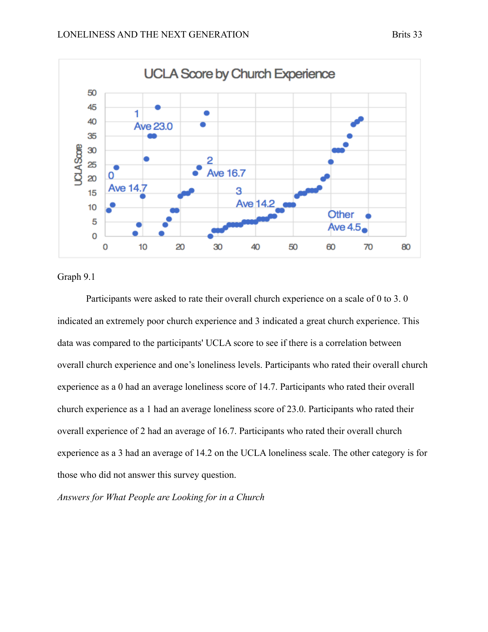

Graph 9.1

Participants were asked to rate their overall church experience on a scale of 0 to 3. 0 indicated an extremely poor church experience and 3 indicated a great church experience. This data was compared to the participants' UCLA score to see if there is a correlation between overall church experience and one's loneliness levels. Participants who rated their overall church experience as a 0 had an average loneliness score of 14.7. Participants who rated their overall church experience as a 1 had an average loneliness score of 23.0. Participants who rated their overall experience of 2 had an average of 16.7. Participants who rated their overall church experience as a 3 had an average of 14.2 on the UCLA loneliness scale. The other category is for those who did not answer this survey question.

*Answers for What People are Looking for in a Church*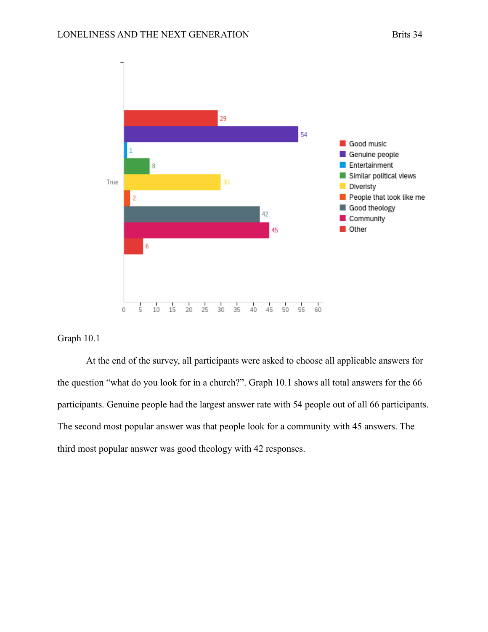

#### Graph 10.1

At the end of the survey, all participants were asked to choose all applicable answers for the question "what do you look for in a church?". Graph 10.1 shows all total answers for the 66 participants. Genuine people had the largest answer rate with 54 people out of all 66 participants. The second most popular answer was that people look for a community with 45 answers. The third most popular answer was good theology with 42 responses.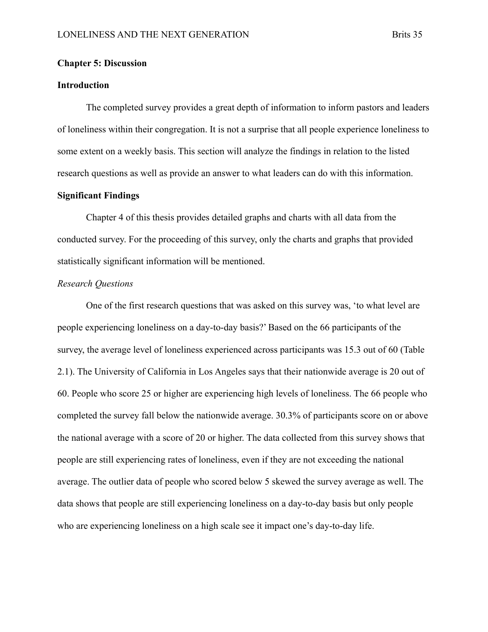#### **Chapter 5: Discussion**

#### **Introduction**

The completed survey provides a great depth of information to inform pastors and leaders of loneliness within their congregation. It is not a surprise that all people experience loneliness to some extent on a weekly basis. This section will analyze the findings in relation to the listed research questions as well as provide an answer to what leaders can do with this information.

#### **Significant Findings**

Chapter 4 of this thesis provides detailed graphs and charts with all data from the conducted survey. For the proceeding of this survey, only the charts and graphs that provided statistically significant information will be mentioned.

#### *Research Questions*

One of the first research questions that was asked on this survey was, 'to what level are people experiencing loneliness on a day-to-day basis?' Based on the 66 participants of the survey, the average level of loneliness experienced across participants was 15.3 out of 60 (Table 2.1). The University of California in Los Angeles says that their nationwide average is 20 out of 60. People who score 25 or higher are experiencing high levels of loneliness. The 66 people who completed the survey fall below the nationwide average. 30.3% of participants score on or above the national average with a score of 20 or higher. The data collected from this survey shows that people are still experiencing rates of loneliness, even if they are not exceeding the national average. The outlier data of people who scored below 5 skewed the survey average as well. The data shows that people are still experiencing loneliness on a day-to-day basis but only people who are experiencing loneliness on a high scale see it impact one's day-to-day life.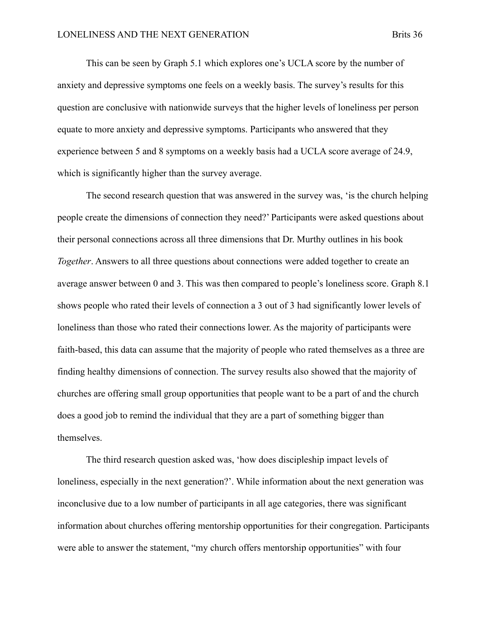This can be seen by Graph 5.1 which explores one's UCLA score by the number of anxiety and depressive symptoms one feels on a weekly basis. The survey's results for this question are conclusive with nationwide surveys that the higher levels of loneliness per person equate to more anxiety and depressive symptoms. Participants who answered that they experience between 5 and 8 symptoms on a weekly basis had a UCLA score average of 24.9, which is significantly higher than the survey average.

The second research question that was answered in the survey was, 'is the church helping people create the dimensions of connection they need?' Participants were asked questions about their personal connections across all three dimensions that Dr. Murthy outlines in his book *Together*. Answers to all three questions about connections were added together to create an average answer between 0 and 3. This was then compared to people's loneliness score. Graph 8.1 shows people who rated their levels of connection a 3 out of 3 had significantly lower levels of loneliness than those who rated their connections lower. As the majority of participants were faith-based, this data can assume that the majority of people who rated themselves as a three are finding healthy dimensions of connection. The survey results also showed that the majority of churches are offering small group opportunities that people want to be a part of and the church does a good job to remind the individual that they are a part of something bigger than themselves.

The third research question asked was, 'how does discipleship impact levels of loneliness, especially in the next generation?'. While information about the next generation was inconclusive due to a low number of participants in all age categories, there was significant information about churches offering mentorship opportunities for their congregation. Participants were able to answer the statement, "my church offers mentorship opportunities" with four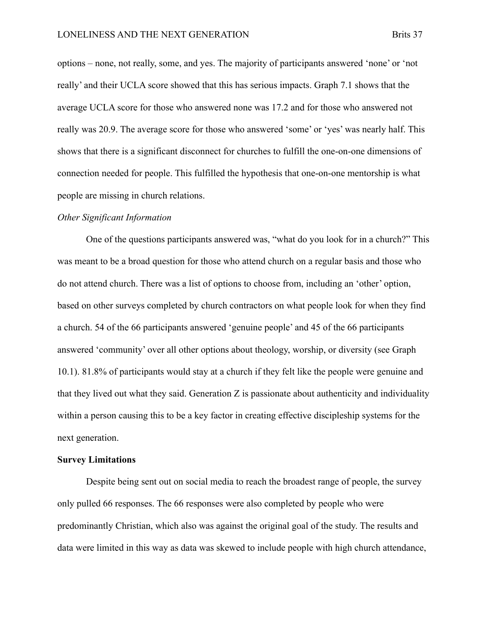options – none, not really, some, and yes. The majority of participants answered 'none' or 'not really' and their UCLA score showed that this has serious impacts. Graph 7.1 shows that the average UCLA score for those who answered none was 17.2 and for those who answered not really was 20.9. The average score for those who answered 'some' or 'yes' was nearly half. This shows that there is a significant disconnect for churches to fulfill the one-on-one dimensions of connection needed for people. This fulfilled the hypothesis that one-on-one mentorship is what people are missing in church relations.

#### *Other Significant Information*

One of the questions participants answered was, "what do you look for in a church?" This was meant to be a broad question for those who attend church on a regular basis and those who do not attend church. There was a list of options to choose from, including an 'other' option, based on other surveys completed by church contractors on what people look for when they find a church. 54 of the 66 participants answered 'genuine people' and 45 of the 66 participants answered 'community' over all other options about theology, worship, or diversity (see Graph 10.1). 81.8% of participants would stay at a church if they felt like the people were genuine and that they lived out what they said. Generation Z is passionate about authenticity and individuality within a person causing this to be a key factor in creating effective discipleship systems for the next generation.

#### **Survey Limitations**

Despite being sent out on social media to reach the broadest range of people, the survey only pulled 66 responses. The 66 responses were also completed by people who were predominantly Christian, which also was against the original goal of the study. The results and data were limited in this way as data was skewed to include people with high church attendance,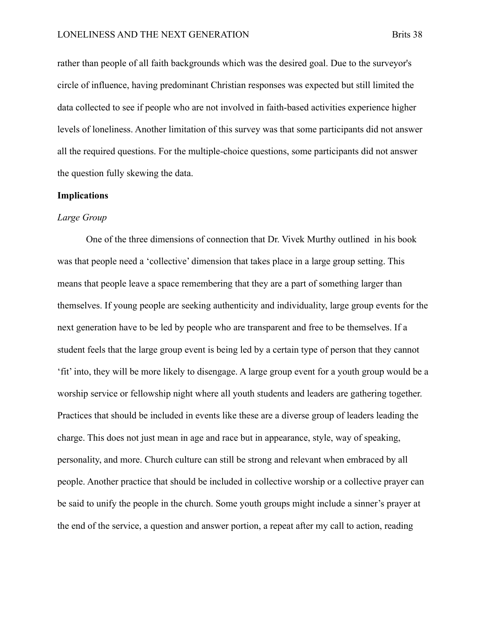rather than people of all faith backgrounds which was the desired goal. Due to the surveyor's circle of influence, having predominant Christian responses was expected but still limited the data collected to see if people who are not involved in faith-based activities experience higher levels of loneliness. Another limitation of this survey was that some participants did not answer all the required questions. For the multiple-choice questions, some participants did not answer the question fully skewing the data.

#### **Implications**

#### *Large Group*

One of the three dimensions of connection that Dr. Vivek Murthy outlined in his book was that people need a 'collective' dimension that takes place in a large group setting. This means that people leave a space remembering that they are a part of something larger than themselves. If young people are seeking authenticity and individuality, large group events for the next generation have to be led by people who are transparent and free to be themselves. If a student feels that the large group event is being led by a certain type of person that they cannot 'fit' into, they will be more likely to disengage. A large group event for a youth group would be a worship service or fellowship night where all youth students and leaders are gathering together. Practices that should be included in events like these are a diverse group of leaders leading the charge. This does not just mean in age and race but in appearance, style, way of speaking, personality, and more. Church culture can still be strong and relevant when embraced by all people. Another practice that should be included in collective worship or a collective prayer can be said to unify the people in the church. Some youth groups might include a sinner's prayer at the end of the service, a question and answer portion, a repeat after my call to action, reading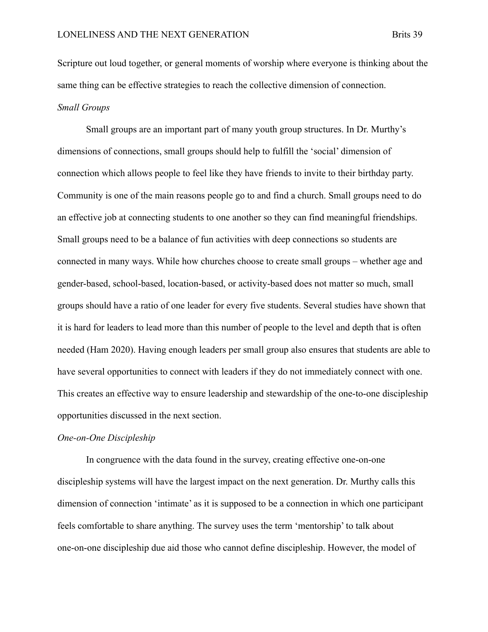Scripture out loud together, or general moments of worship where everyone is thinking about the same thing can be effective strategies to reach the collective dimension of connection. *Small Groups*

Small groups are an important part of many youth group structures. In Dr. Murthy's dimensions of connections, small groups should help to fulfill the 'social' dimension of connection which allows people to feel like they have friends to invite to their birthday party. Community is one of the main reasons people go to and find a church. Small groups need to do an effective job at connecting students to one another so they can find meaningful friendships. Small groups need to be a balance of fun activities with deep connections so students are connected in many ways. While how churches choose to create small groups – whether age and gender-based, school-based, location-based, or activity-based does not matter so much, small groups should have a ratio of one leader for every five students. Several studies have shown that it is hard for leaders to lead more than this number of people to the level and depth that is often needed (Ham 2020). Having enough leaders per small group also ensures that students are able to have several opportunities to connect with leaders if they do not immediately connect with one. This creates an effective way to ensure leadership and stewardship of the one-to-one discipleship opportunities discussed in the next section.

#### *One-on-One Discipleship*

In congruence with the data found in the survey, creating effective one-on-one discipleship systems will have the largest impact on the next generation. Dr. Murthy calls this dimension of connection 'intimate' as it is supposed to be a connection in which one participant feels comfortable to share anything. The survey uses the term 'mentorship' to talk about one-on-one discipleship due aid those who cannot define discipleship. However, the model of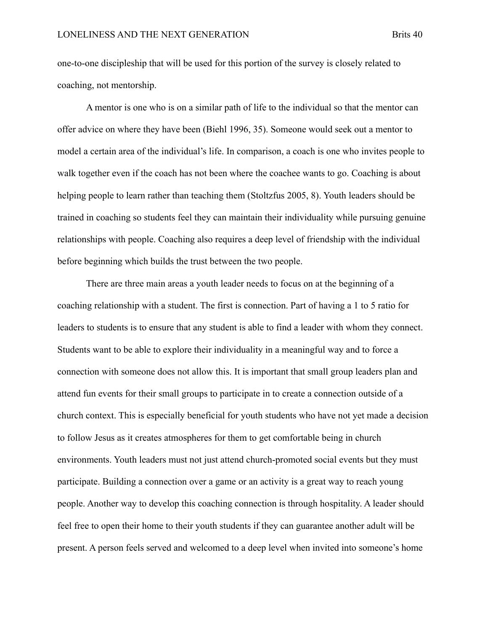one-to-one discipleship that will be used for this portion of the survey is closely related to coaching, not mentorship.

A mentor is one who is on a similar path of life to the individual so that the mentor can offer advice on where they have been (Biehl 1996, 35). Someone would seek out a mentor to model a certain area of the individual's life. In comparison, a coach is one who invites people to walk together even if the coach has not been where the coachee wants to go. Coaching is about helping people to learn rather than teaching them (Stoltzfus 2005, 8). Youth leaders should be trained in coaching so students feel they can maintain their individuality while pursuing genuine relationships with people. Coaching also requires a deep level of friendship with the individual before beginning which builds the trust between the two people.

There are three main areas a youth leader needs to focus on at the beginning of a coaching relationship with a student. The first is connection. Part of having a 1 to 5 ratio for leaders to students is to ensure that any student is able to find a leader with whom they connect. Students want to be able to explore their individuality in a meaningful way and to force a connection with someone does not allow this. It is important that small group leaders plan and attend fun events for their small groups to participate in to create a connection outside of a church context. This is especially beneficial for youth students who have not yet made a decision to follow Jesus as it creates atmospheres for them to get comfortable being in church environments. Youth leaders must not just attend church-promoted social events but they must participate. Building a connection over a game or an activity is a great way to reach young people. Another way to develop this coaching connection is through hospitality. A leader should feel free to open their home to their youth students if they can guarantee another adult will be present. A person feels served and welcomed to a deep level when invited into someone's home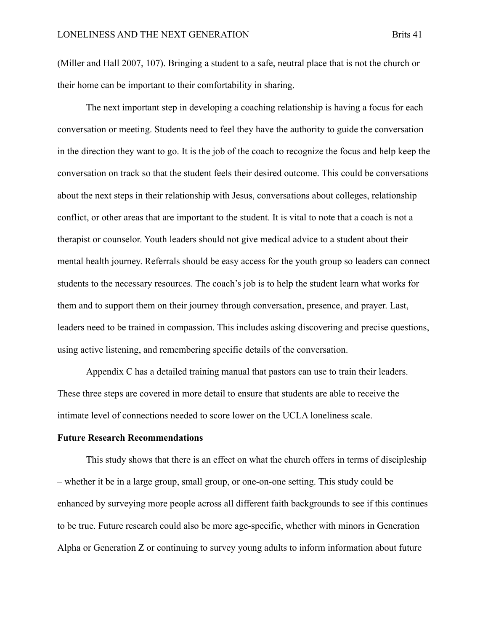(Miller and Hall 2007, 107). Bringing a student to a safe, neutral place that is not the church or their home can be important to their comfortability in sharing.

The next important step in developing a coaching relationship is having a focus for each conversation or meeting. Students need to feel they have the authority to guide the conversation in the direction they want to go. It is the job of the coach to recognize the focus and help keep the conversation on track so that the student feels their desired outcome. This could be conversations about the next steps in their relationship with Jesus, conversations about colleges, relationship conflict, or other areas that are important to the student. It is vital to note that a coach is not a therapist or counselor. Youth leaders should not give medical advice to a student about their mental health journey. Referrals should be easy access for the youth group so leaders can connect students to the necessary resources. The coach's job is to help the student learn what works for them and to support them on their journey through conversation, presence, and prayer. Last, leaders need to be trained in compassion. This includes asking discovering and precise questions, using active listening, and remembering specific details of the conversation.

Appendix C has a detailed training manual that pastors can use to train their leaders. These three steps are covered in more detail to ensure that students are able to receive the intimate level of connections needed to score lower on the UCLA loneliness scale.

#### **Future Research Recommendations**

This study shows that there is an effect on what the church offers in terms of discipleship – whether it be in a large group, small group, or one-on-one setting. This study could be enhanced by surveying more people across all different faith backgrounds to see if this continues to be true. Future research could also be more age-specific, whether with minors in Generation Alpha or Generation Z or continuing to survey young adults to inform information about future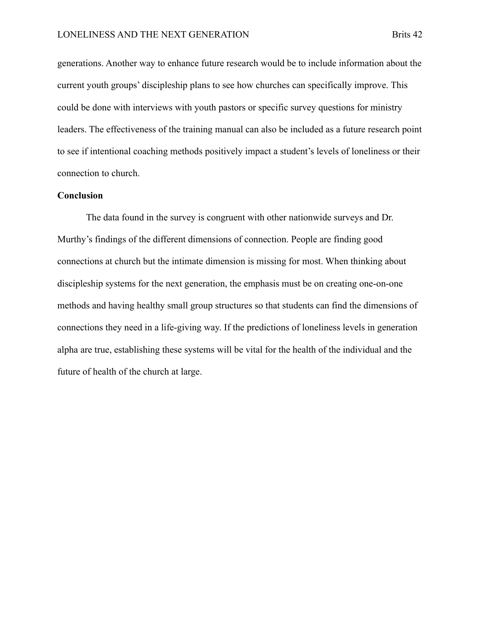generations. Another way to enhance future research would be to include information about the current youth groups' discipleship plans to see how churches can specifically improve. This could be done with interviews with youth pastors or specific survey questions for ministry leaders. The effectiveness of the training manual can also be included as a future research point to see if intentional coaching methods positively impact a student's levels of loneliness or their connection to church.

#### **Conclusion**

The data found in the survey is congruent with other nationwide surveys and Dr. Murthy's findings of the different dimensions of connection. People are finding good connections at church but the intimate dimension is missing for most. When thinking about discipleship systems for the next generation, the emphasis must be on creating one-on-one methods and having healthy small group structures so that students can find the dimensions of connections they need in a life-giving way. If the predictions of loneliness levels in generation alpha are true, establishing these systems will be vital for the health of the individual and the future of health of the church at large.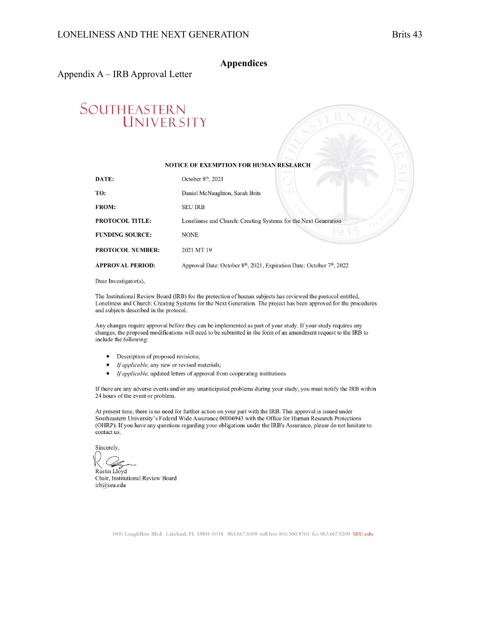#### **Appendices**

#### Appendix A – IRB Approval Letter

# SOUTHEASTERN<br>UNIVERSITY

#### NOTICE OF EXEMPTION FOR HUMAN RESEARCH

| DATE:                   | October 8 <sup>th</sup> , 2021                                                                 |
|-------------------------|------------------------------------------------------------------------------------------------|
| TO:                     | Daniel McNaughton, Sarah Brits                                                                 |
| <b>FROM:</b>            | <b>SEU IRB</b>                                                                                 |
| <b>PROTOCOL TITLE:</b>  | Loneliness and Church: Creating Systems for the Next Generation                                |
| <b>FUNDING SOURCE:</b>  | <b>NONE</b>                                                                                    |
| <b>PROTOCOL NUMBER:</b> | 2021 MT19                                                                                      |
| <b>APPROVAL PERIOD:</b> | Approval Date: October 8 <sup>th</sup> , 2021, Expiration Date: October 7 <sup>th</sup> , 2022 |
|                         |                                                                                                |

Dear Investigator(s),

The Institutional Review Board (IRB) for the protection of human subjects has reviewed the protocol entitled, Loneliness and Church: Creating Systems for the Next Generation. The project has been approved for the procedures and subjects described in the protocol.

Any changes require approval before they can be implemented as part of your study. If your study requires any changes, the proposed modifications will need to be submitted in the form of an amendment request to the IRB to include the following:

- Description of proposed revisions;
- If applicable, any new or revised materials;
- If applicable, updated letters of approval from cooperating institutions

If there are any adverse events and/or any unanticipated problems during your study, you must notify the IRB within 24 hours of the event or problem.

At present time, there is no need for further action on your part with the IRB. This approval is issued under Southeastern University's Federal Wide Assurance 00006943 with the Office for Human Research Protections (OHRP). If you have any questions regarding your obligations under the IRB's Assurance, please do not hesitate to contact us.

Sincerely.

Rustin Lloyd Chair, Institutional Review Board irb@seu.edu

1000 Longfellow Blvd. Lakeland, FL 33801-6034 863.667.5000 toll free 800.500.8760 fax 863.667.5200 SEU.edu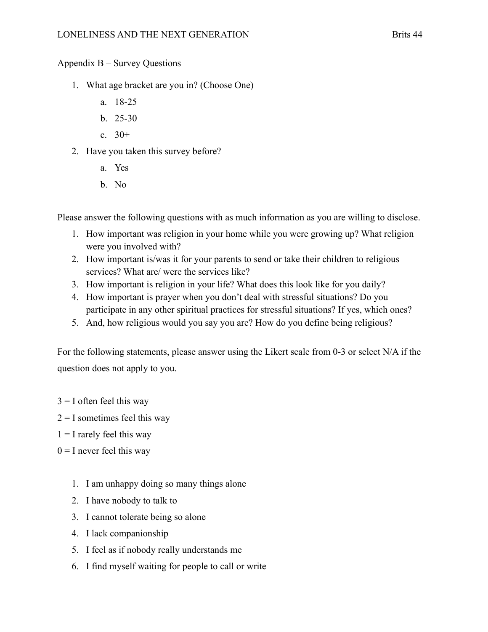#### Appendix B – Survey Questions

- 1. What age bracket are you in? (Choose One)
	- a. 18-25
	- b. 25-30
	- c.  $30+$
- 2. Have you taken this survey before?
	- a. Yes
	- b. No

Please answer the following questions with as much information as you are willing to disclose.

- 1. How important was religion in your home while you were growing up? What religion were you involved with?
- 2. How important is/was it for your parents to send or take their children to religious services? What are/ were the services like?
- 3. How important is religion in your life? What does this look like for you daily?
- 4. How important is prayer when you don't deal with stressful situations? Do you participate in any other spiritual practices for stressful situations? If yes, which ones?
- 5. And, how religious would you say you are? How do you define being religious?

For the following statements, please answer using the Likert scale from 0-3 or select N/A if the question does not apply to you.

- $3 = I$  often feel this way
- $2 = I$  sometimes feel this way
- $1 = I$  rarely feel this way
- $0 = I$  never feel this way
	- 1. I am unhappy doing so many things alone
	- 2. I have nobody to talk to
	- 3. I cannot tolerate being so alone
	- 4. I lack companionship
	- 5. I feel as if nobody really understands me
	- 6. I find myself waiting for people to call or write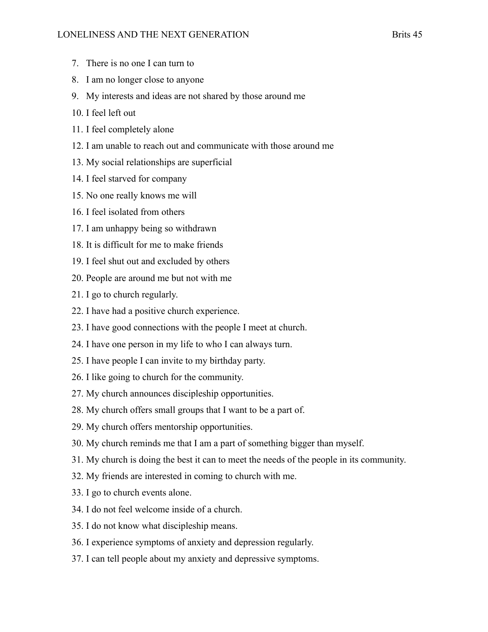- 7. There is no one I can turn to
- 8. I am no longer close to anyone
- 9. My interests and ideas are not shared by those around me
- 10. I feel left out
- 11. I feel completely alone
- 12. I am unable to reach out and communicate with those around me
- 13. My social relationships are superficial
- 14. I feel starved for company
- 15. No one really knows me will
- 16. I feel isolated from others
- 17. I am unhappy being so withdrawn
- 18. It is difficult for me to make friends
- 19. I feel shut out and excluded by others
- 20. People are around me but not with me
- 21. I go to church regularly.
- 22. I have had a positive church experience.
- 23. I have good connections with the people I meet at church.
- 24. I have one person in my life to who I can always turn.
- 25. I have people I can invite to my birthday party.
- 26. I like going to church for the community.
- 27. My church announces discipleship opportunities.
- 28. My church offers small groups that I want to be a part of.
- 29. My church offers mentorship opportunities.
- 30. My church reminds me that I am a part of something bigger than myself.
- 31. My church is doing the best it can to meet the needs of the people in its community.
- 32. My friends are interested in coming to church with me.
- 33. I go to church events alone.
- 34. I do not feel welcome inside of a church.
- 35. I do not know what discipleship means.
- 36. I experience symptoms of anxiety and depression regularly.
- 37. I can tell people about my anxiety and depressive symptoms.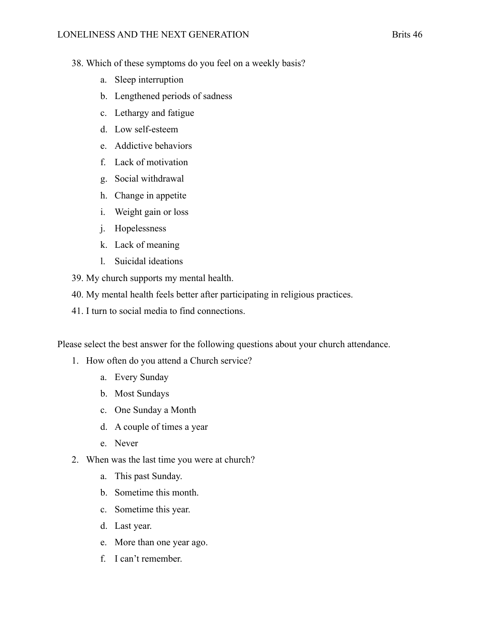- 38. Which of these symptoms do you feel on a weekly basis?
	- a. Sleep interruption
	- b. Lengthened periods of sadness
	- c. Lethargy and fatigue
	- d. Low self-esteem
	- e. Addictive behaviors
	- f. Lack of motivation
	- g. Social withdrawal
	- h. Change in appetite
	- i. Weight gain or loss
	- j. Hopelessness
	- k. Lack of meaning
	- l. Suicidal ideations
- 39. My church supports my mental health.
- 40. My mental health feels better after participating in religious practices.
- 41. I turn to social media to find connections.

Please select the best answer for the following questions about your church attendance.

- 1. How often do you attend a Church service?
	- a. Every Sunday
	- b. Most Sundays
	- c. One Sunday a Month
	- d. A couple of times a year
	- e. Never
- 2. When was the last time you were at church?
	- a. This past Sunday.
	- b. Sometime this month.
	- c. Sometime this year.
	- d. Last year.
	- e. More than one year ago.
	- f. I can't remember.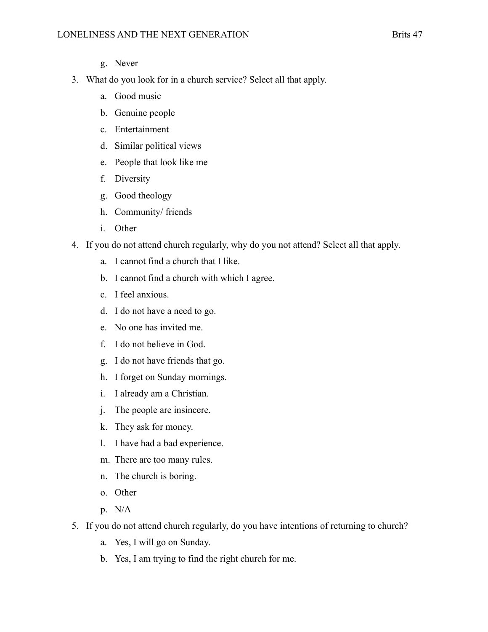- g. Never
- 3. What do you look for in a church service? Select all that apply.
	- a. Good music
	- b. Genuine people
	- c. Entertainment
	- d. Similar political views
	- e. People that look like me
	- f. Diversity
	- g. Good theology
	- h. Community/ friends
	- i. Other
- 4. If you do not attend church regularly, why do you not attend? Select all that apply.
	- a. I cannot find a church that I like.
	- b. I cannot find a church with which I agree.
	- c. I feel anxious.
	- d. I do not have a need to go.
	- e. No one has invited me.
	- f. I do not believe in God.
	- g. I do not have friends that go.
	- h. I forget on Sunday mornings.
	- i. I already am a Christian.
	- j. The people are insincere.
	- k. They ask for money.
	- l. I have had a bad experience.
	- m. There are too many rules.
	- n. The church is boring.
	- o. Other
	- p. N/A
- 5. If you do not attend church regularly, do you have intentions of returning to church?
	- a. Yes, I will go on Sunday.
	- b. Yes, I am trying to find the right church for me.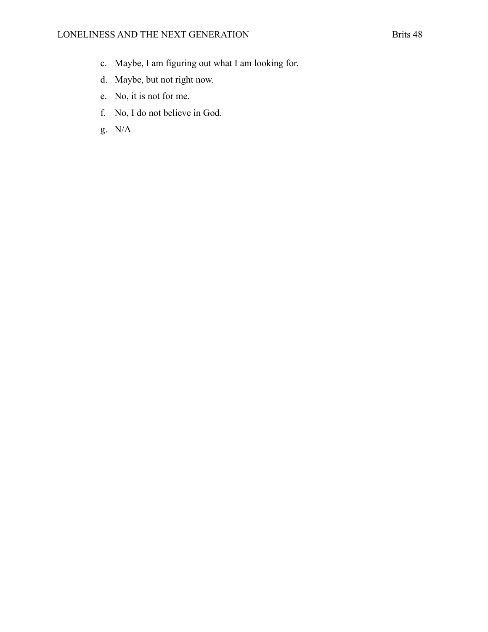- c. Maybe, I am figuring out what I am looking for.
- d. Maybe, but not right now.
- e. No, it is not for me.
- f. No, I do not believe in God.
- g. N/A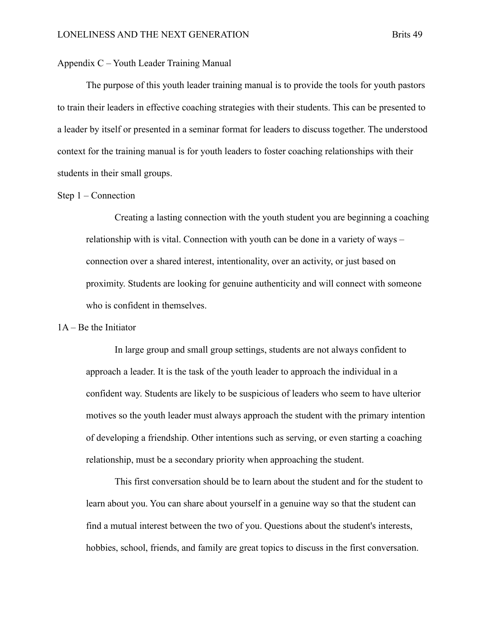#### Appendix C – Youth Leader Training Manual

The purpose of this youth leader training manual is to provide the tools for youth pastors to train their leaders in effective coaching strategies with their students. This can be presented to a leader by itself or presented in a seminar format for leaders to discuss together. The understood context for the training manual is for youth leaders to foster coaching relationships with their students in their small groups.

#### Step 1 – Connection

Creating a lasting connection with the youth student you are beginning a coaching relationship with is vital. Connection with youth can be done in a variety of ways – connection over a shared interest, intentionality, over an activity, or just based on proximity. Students are looking for genuine authenticity and will connect with someone who is confident in themselves.

#### 1A – Be the Initiator

In large group and small group settings, students are not always confident to approach a leader. It is the task of the youth leader to approach the individual in a confident way. Students are likely to be suspicious of leaders who seem to have ulterior motives so the youth leader must always approach the student with the primary intention of developing a friendship. Other intentions such as serving, or even starting a coaching relationship, must be a secondary priority when approaching the student.

This first conversation should be to learn about the student and for the student to learn about you. You can share about yourself in a genuine way so that the student can find a mutual interest between the two of you. Questions about the student's interests, hobbies, school, friends, and family are great topics to discuss in the first conversation.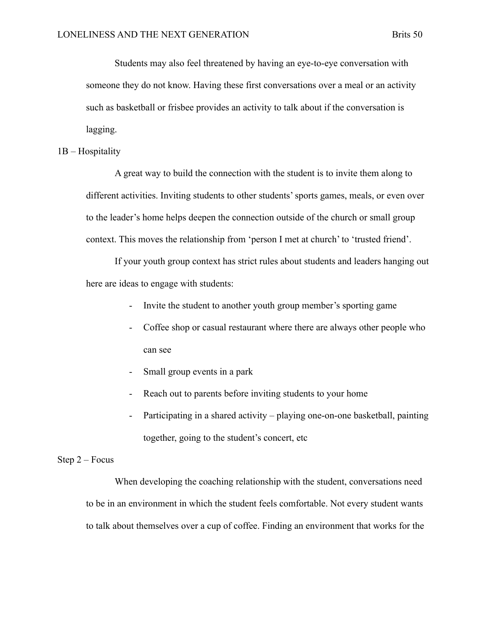Students may also feel threatened by having an eye-to-eye conversation with someone they do not know. Having these first conversations over a meal or an activity such as basketball or frisbee provides an activity to talk about if the conversation is lagging.

#### 1B – Hospitality

A great way to build the connection with the student is to invite them along to different activities. Inviting students to other students' sports games, meals, or even over to the leader's home helps deepen the connection outside of the church or small group context. This moves the relationship from 'person I met at church' to 'trusted friend'.

If your youth group context has strict rules about students and leaders hanging out here are ideas to engage with students:

- Invite the student to another youth group member's sporting game
- Coffee shop or casual restaurant where there are always other people who can see
- Small group events in a park
- Reach out to parents before inviting students to your home
- Participating in a shared activity playing one-on-one basketball, painting together, going to the student's concert, etc

#### Step 2 – Focus

When developing the coaching relationship with the student, conversations need to be in an environment in which the student feels comfortable. Not every student wants to talk about themselves over a cup of coffee. Finding an environment that works for the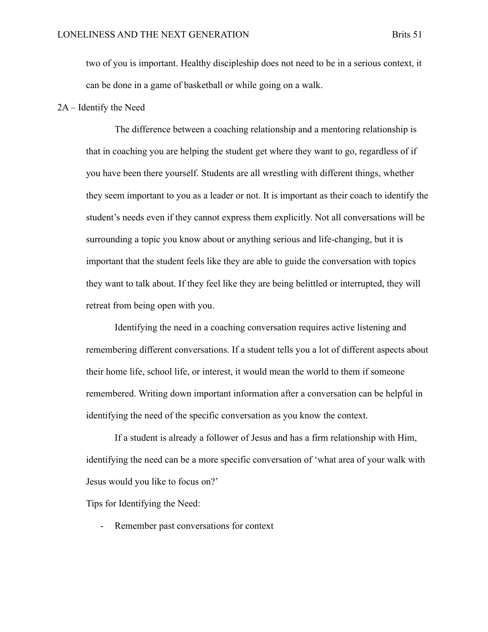two of you is important. Healthy discipleship does not need to be in a serious context, it can be done in a game of basketball or while going on a walk.

#### 2A – Identify the Need

The difference between a coaching relationship and a mentoring relationship is that in coaching you are helping the student get where they want to go, regardless of if you have been there yourself. Students are all wrestling with different things, whether they seem important to you as a leader or not. It is important as their coach to identify the student's needs even if they cannot express them explicitly. Not all conversations will be surrounding a topic you know about or anything serious and life-changing, but it is important that the student feels like they are able to guide the conversation with topics they want to talk about. If they feel like they are being belittled or interrupted, they will retreat from being open with you.

Identifying the need in a coaching conversation requires active listening and remembering different conversations. If a student tells you a lot of different aspects about their home life, school life, or interest, it would mean the world to them if someone remembered. Writing down important information after a conversation can be helpful in identifying the need of the specific conversation as you know the context.

If a student is already a follower of Jesus and has a firm relationship with Him, identifying the need can be a more specific conversation of 'what area of your walk with Jesus would you like to focus on?'

Tips for Identifying the Need:

- Remember past conversations for context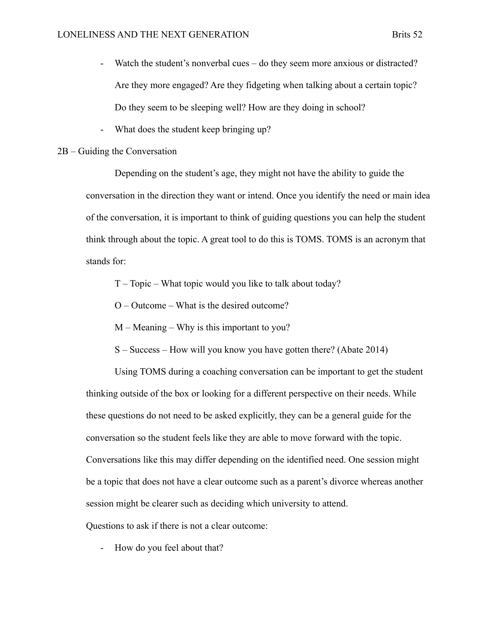- Watch the student's nonverbal cues do they seem more anxious or distracted? Are they more engaged? Are they fidgeting when talking about a certain topic? Do they seem to be sleeping well? How are they doing in school?
- What does the student keep bringing up?

#### 2B – Guiding the Conversation

Depending on the student's age, they might not have the ability to guide the conversation in the direction they want or intend. Once you identify the need or main idea of the conversation, it is important to think of guiding questions you can help the student think through about the topic. A great tool to do this is TOMS. TOMS is an acronym that stands for:

T – Topic – What topic would you like to talk about today?

O – Outcome – What is the desired outcome?

- M Meaning Why is this important to you?
- S Success How will you know you have gotten there? (Abate 2014)

Using TOMS during a coaching conversation can be important to get the student thinking outside of the box or looking for a different perspective on their needs. While these questions do not need to be asked explicitly, they can be a general guide for the conversation so the student feels like they are able to move forward with the topic. Conversations like this may differ depending on the identified need. One session might be a topic that does not have a clear outcome such as a parent's divorce whereas another session might be clearer such as deciding which university to attend.

Questions to ask if there is not a clear outcome:

- How do you feel about that?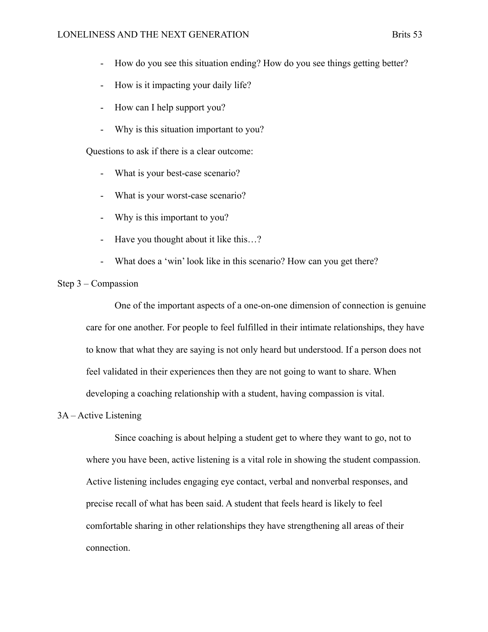- How do you see this situation ending? How do you see things getting better?
- How is it impacting your daily life?
- How can I help support you?
- Why is this situation important to you?

Questions to ask if there is a clear outcome:

- What is your best-case scenario?
- What is your worst-case scenario?
- Why is this important to you?
- Have you thought about it like this…?
- What does a 'win' look like in this scenario? How can you get there?

#### Step 3 – Compassion

One of the important aspects of a one-on-one dimension of connection is genuine care for one another. For people to feel fulfilled in their intimate relationships, they have to know that what they are saying is not only heard but understood. If a person does not feel validated in their experiences then they are not going to want to share. When developing a coaching relationship with a student, having compassion is vital.

#### 3A – Active Listening

Since coaching is about helping a student get to where they want to go, not to where you have been, active listening is a vital role in showing the student compassion. Active listening includes engaging eye contact, verbal and nonverbal responses, and precise recall of what has been said. A student that feels heard is likely to feel comfortable sharing in other relationships they have strengthening all areas of their connection.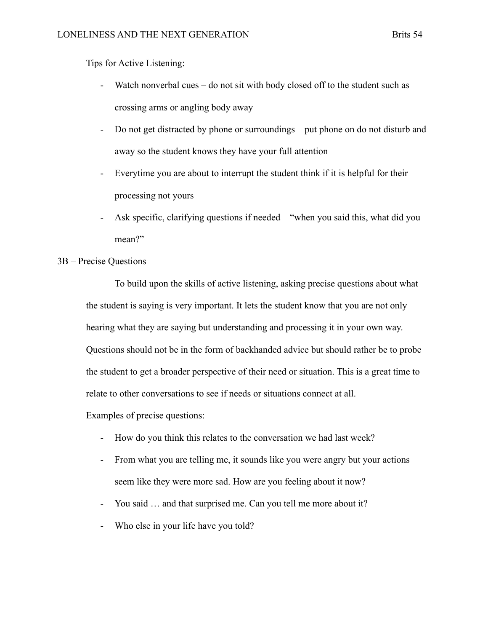Tips for Active Listening:

- Watch nonverbal cues do not sit with body closed off to the student such as crossing arms or angling body away
- Do not get distracted by phone or surroundings put phone on do not disturb and away so the student knows they have your full attention
- Everytime you are about to interrupt the student think if it is helpful for their processing not yours
- Ask specific, clarifying questions if needed "when you said this, what did you mean?"
- 3B Precise Questions

To build upon the skills of active listening, asking precise questions about what the student is saying is very important. It lets the student know that you are not only hearing what they are saying but understanding and processing it in your own way. Questions should not be in the form of backhanded advice but should rather be to probe the student to get a broader perspective of their need or situation. This is a great time to relate to other conversations to see if needs or situations connect at all.

Examples of precise questions:

- How do you think this relates to the conversation we had last week?
- From what you are telling me, it sounds like you were angry but your actions seem like they were more sad. How are you feeling about it now?
- You said … and that surprised me. Can you tell me more about it?
- Who else in your life have you told?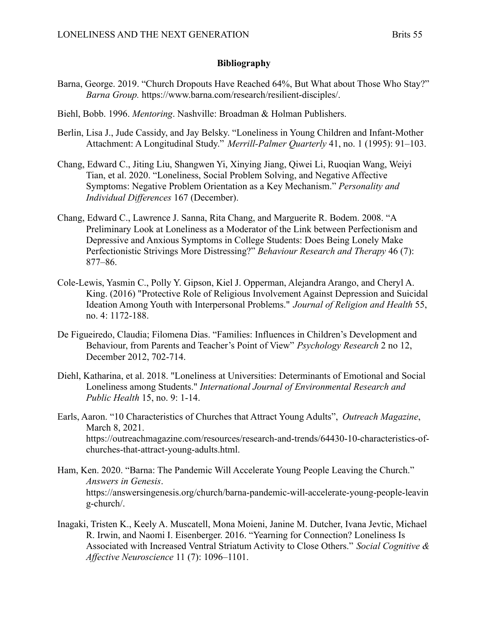#### **Bibliography**

- Barna, George. 2019. "Church Dropouts Have Reached 64%, But What about Those Who Stay?" *Barna Group.* https://www.barna.com/research/resilient-disciples/.
- Biehl, Bobb. 1996. *Mentoring*. Nashville: Broadman & Holman Publishers.
- Berlin, Lisa J., Jude Cassidy, and Jay Belsky. "Loneliness in Young Children and Infant-Mother Attachment: A Longitudinal Study." *Merrill-Palmer Quarterly* 41, no. 1 (1995): 91–103.
- Chang, Edward C., Jiting Liu, Shangwen Yi, Xinying Jiang, Qiwei Li, Ruoqian Wang, Weiyi Tian, et al. 2020. "Loneliness, Social Problem Solving, and Negative Affective Symptoms: Negative Problem Orientation as a Key Mechanism." *Personality and Individual Differences* 167 (December).
- Chang, Edward C., Lawrence J. Sanna, Rita Chang, and Marguerite R. Bodem. 2008. "A Preliminary Look at Loneliness as a Moderator of the Link between Perfectionism and Depressive and Anxious Symptoms in College Students: Does Being Lonely Make Perfectionistic Strivings More Distressing?" *Behaviour Research and Therapy* 46 (7): 877–86.
- Cole-Lewis, Yasmin C., Polly Y. Gipson, Kiel J. Opperman, Alejandra Arango, and Cheryl A. King. (2016) "Protective Role of Religious Involvement Against Depression and Suicidal Ideation Among Youth with Interpersonal Problems." *Journal of Religion and Health* 55, no. 4: 1172-188.
- De Figueiredo, Claudia; Filomena Dias. "Families: Influences in Children's Development and Behaviour, from Parents and Teacher's Point of View" *Psychology Research* 2 no 12, December 2012, 702-714.
- Diehl, Katharina, et al. 2018. "Loneliness at Universities: Determinants of Emotional and Social Loneliness among Students." *International Journal of Environmental Research and Public Health* 15, no. 9: 1-14.
- Earls, Aaron. "10 Characteristics of Churches that Attract Young Adults", *Outreach Magazine*, March 8, 2021. https://outreachmagazine.com/resources/research-and-trends/64430-10-characteristics-ofchurches-that-attract-young-adults.html.
- Ham, Ken. 2020. "Barna: The Pandemic Will Accelerate Young People Leaving the Church." *Answers in Genesis*. https://answersingenesis.org/church/barna-pandemic-will-accelerate-young-people-leavin g-church/.
- Inagaki, Tristen K., Keely A. Muscatell, Mona Moieni, Janine M. Dutcher, Ivana Jevtic, Michael R. Irwin, and Naomi I. Eisenberger. 2016. "Yearning for Connection? Loneliness Is Associated with Increased Ventral Striatum Activity to Close Others." *Social Cognitive & Affective Neuroscience* 11 (7): 1096–1101.